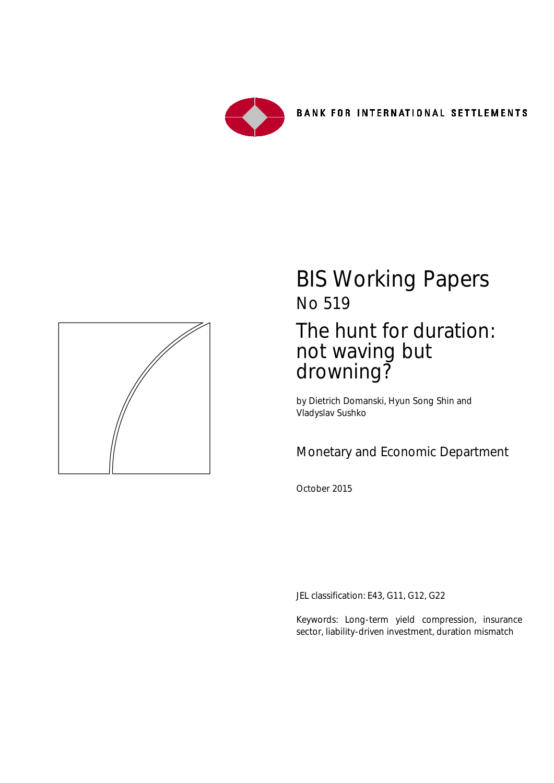



# BIS Working Papers No 519 The hunt for duration: not waving but drowning?

by Dietrich Domanski, Hyun Song Shin and Vladyslav Sushko

Monetary and Economic Department

October 2015

JEL classification: E43, G11, G12, G22

Keywords: Long-term yield compression, insurance sector, liability-driven investment, duration mismatch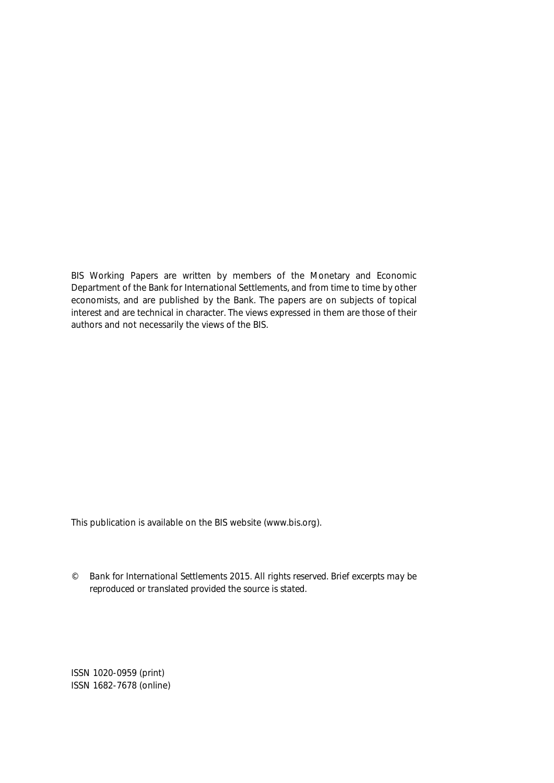BIS Working Papers are written by members of the Monetary and Economic Department of the Bank for International Settlements, and from time to time by other economists, and are published by the Bank. The papers are on subjects of topical interest and are technical in character. The views expressed in them are those of their authors and not necessarily the views of the BIS.

This publication is available on the BIS website (www.bis.org).

*© Bank for International Settlements 2015. All rights reserved. Brief excerpts may be reproduced or translated provided the source is stated.*

ISSN 1020-0959 (print) ISSN 1682-7678 (online)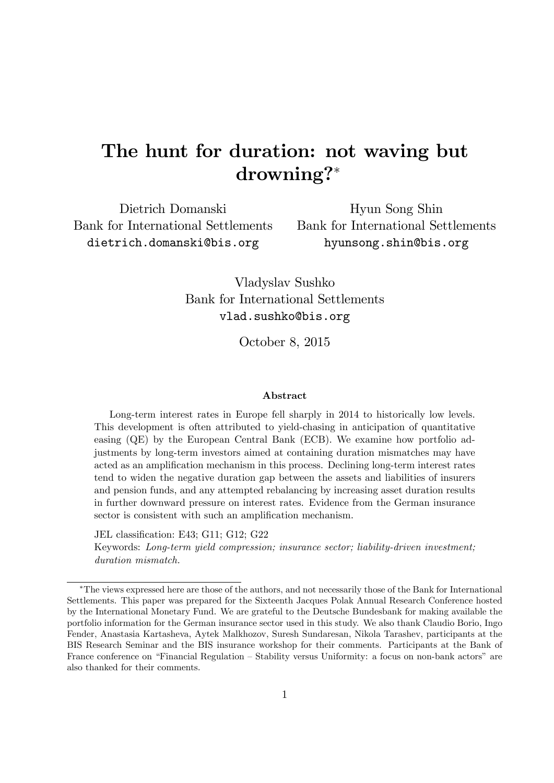# The hunt for duration: not waving but drowning?

Dietrich Domanski Bank for International Settlements dietrich.domanski@bis.org

Hyun Song Shin Bank for International Settlements hyunsong.shin@bis.org

Vladyslav Sushko Bank for International Settlements vlad.sushko@bis.org

October 8, 2015

#### Abstract

Long-term interest rates in Europe fell sharply in 2014 to historically low levels. This development is often attributed to yield-chasing in anticipation of quantitative easing (QE) by the European Central Bank (ECB). We examine how portfolio adjustments by long-term investors aimed at containing duration mismatches may have acted as an amplification mechanism in this process. Declining long-term interest rates tend to widen the negative duration gap between the assets and liabilities of insurers and pension funds, and any attempted rebalancing by increasing asset duration results in further downward pressure on interest rates. Evidence from the German insurance sector is consistent with such an amplification mechanism.

JEL classification: E43; G11; G12; G22

Keywords: Long-term yield compression; insurance sector; liability-driven investment; duration mismatch.

The views expressed here are those of the authors, and not necessarily those of the Bank for International Settlements. This paper was prepared for the Sixteenth Jacques Polak Annual Research Conference hosted by the International Monetary Fund. We are grateful to the Deutsche Bundesbank for making available the portfolio information for the German insurance sector used in this study. We also thank Claudio Borio, Ingo Fender, Anastasia Kartasheva, Aytek Malkhozov, Suresh Sundaresan, Nikola Tarashev, participants at the BIS Research Seminar and the BIS insurance workshop for their comments. Participants at the Bank of France conference on "Financial Regulation – Stability versus Uniformity: a focus on non-bank actors" are also thanked for their comments.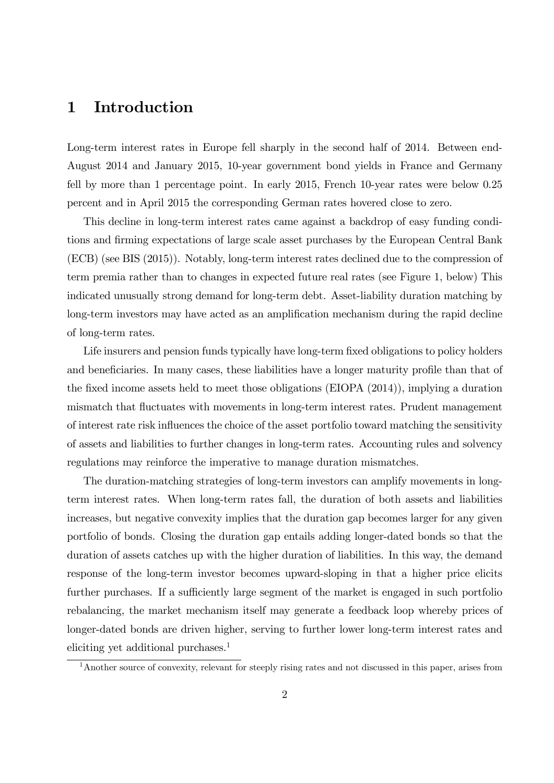### 1 Introduction

Long-term interest rates in Europe fell sharply in the second half of 2014. Between end-August 2014 and January 2015, 10-year government bond yields in France and Germany fell by more than 1 percentage point. In early 2015, French 10-year rates were below 0.25 percent and in April 2015 the corresponding German rates hovered close to zero.

This decline in long-term interest rates came against a backdrop of easy funding conditions and firming expectations of large scale asset purchases by the European Central Bank (ECB) (see BIS (2015)). Notably, long-term interest rates declined due to the compression of term premia rather than to changes in expected future real rates (see Figure 1, below) This indicated unusually strong demand for long-term debt. Asset-liability duration matching by long-term investors may have acted as an amplification mechanism during the rapid decline of long-term rates.

Life insurers and pension funds typically have long-term fixed obligations to policy holders and beneficiaries. In many cases, these liabilities have a longer maturity profile than that of the Öxed income assets held to meet those obligations (EIOPA (2014)), implying a duration mismatch that fluctuates with movements in long-term interest rates. Prudent management of interest rate risk ináuences the choice of the asset portfolio toward matching the sensitivity of assets and liabilities to further changes in long-term rates. Accounting rules and solvency regulations may reinforce the imperative to manage duration mismatches.

The duration-matching strategies of long-term investors can amplify movements in longterm interest rates. When long-term rates fall, the duration of both assets and liabilities increases, but negative convexity implies that the duration gap becomes larger for any given portfolio of bonds. Closing the duration gap entails adding longer-dated bonds so that the duration of assets catches up with the higher duration of liabilities. In this way, the demand response of the long-term investor becomes upward-sloping in that a higher price elicits further purchases. If a sufficiently large segment of the market is engaged in such portfolio rebalancing, the market mechanism itself may generate a feedback loop whereby prices of longer-dated bonds are driven higher, serving to further lower long-term interest rates and eliciting yet additional purchases.<sup>1</sup>

<sup>&</sup>lt;sup>1</sup>Another source of convexity, relevant for steeply rising rates and not discussed in this paper, arises from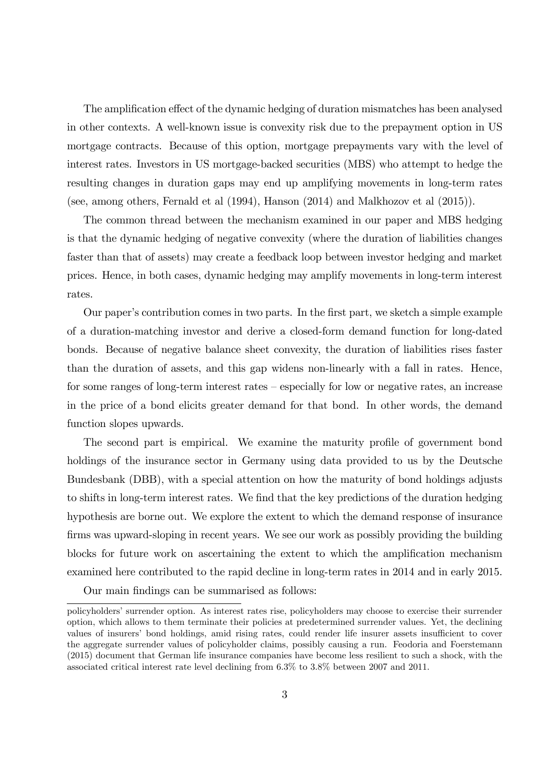The amplification effect of the dynamic hedging of duration mismatches has been analysed in other contexts. A well-known issue is convexity risk due to the prepayment option in US mortgage contracts. Because of this option, mortgage prepayments vary with the level of interest rates. Investors in US mortgage-backed securities (MBS) who attempt to hedge the resulting changes in duration gaps may end up amplifying movements in long-term rates (see, among others, Fernald et al (1994), Hanson (2014) and Malkhozov et al (2015)).

The common thread between the mechanism examined in our paper and MBS hedging is that the dynamic hedging of negative convexity (where the duration of liabilities changes faster than that of assets) may create a feedback loop between investor hedging and market prices. Hence, in both cases, dynamic hedging may amplify movements in long-term interest rates.

Our paper's contribution comes in two parts. In the first part, we sketch a simple example of a duration-matching investor and derive a closed-form demand function for long-dated bonds. Because of negative balance sheet convexity, the duration of liabilities rises faster than the duration of assets, and this gap widens non-linearly with a fall in rates. Hence, for some ranges of long-term interest rates  $-$  especially for low or negative rates, an increase in the price of a bond elicits greater demand for that bond. In other words, the demand function slopes upwards.

The second part is empirical. We examine the maturity profile of government bond holdings of the insurance sector in Germany using data provided to us by the Deutsche Bundesbank (DBB), with a special attention on how the maturity of bond holdings adjusts to shifts in long-term interest rates. We find that the key predictions of the duration hedging hypothesis are borne out. We explore the extent to which the demand response of insurance firms was upward-sloping in recent years. We see our work as possibly providing the building blocks for future work on ascertaining the extent to which the amplification mechanism examined here contributed to the rapid decline in long-term rates in 2014 and in early 2015.

Our main findings can be summarised as follows:

policyholdersísurrender option. As interest rates rise, policyholders may choose to exercise their surrender option, which allows to them terminate their policies at predetermined surrender values. Yet, the declining values of insurers' bond holdings, amid rising rates, could render life insurer assets insufficient to cover the aggregate surrender values of policyholder claims, possibly causing a run. Feodoria and Foerstemann (2015) document that German life insurance companies have become less resilient to such a shock, with the associated critical interest rate level declining from 6.3% to 3.8% between 2007 and 2011.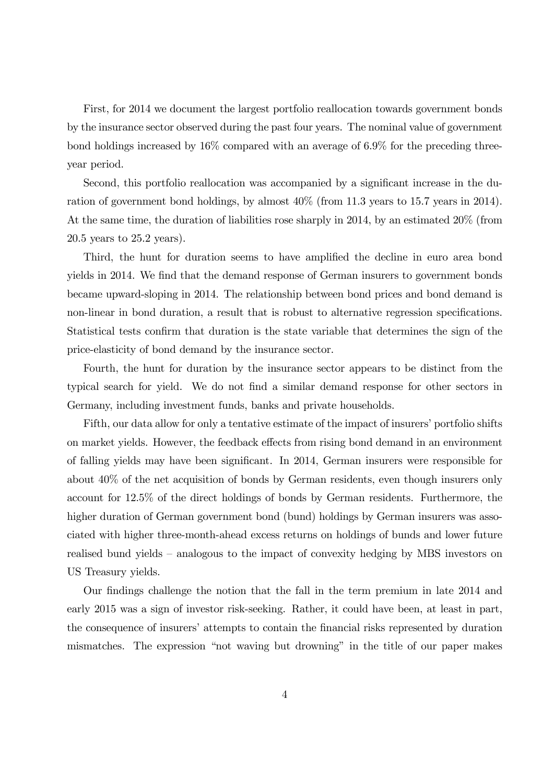First, for 2014 we document the largest portfolio reallocation towards government bonds by the insurance sector observed during the past four years. The nominal value of government bond holdings increased by 16% compared with an average of 6.9% for the preceding threeyear period.

Second, this portfolio reallocation was accompanied by a significant increase in the duration of government bond holdings, by almost 40% (from 11.3 years to 15.7 years in 2014). At the same time, the duration of liabilities rose sharply in 2014, by an estimated 20% (from 20.5 years to 25.2 years).

Third, the hunt for duration seems to have amplified the decline in euro area bond yields in 2014. We find that the demand response of German insurers to government bonds became upward-sloping in 2014. The relationship between bond prices and bond demand is non-linear in bond duration, a result that is robust to alternative regression specifications. Statistical tests confirm that duration is the state variable that determines the sign of the price-elasticity of bond demand by the insurance sector.

Fourth, the hunt for duration by the insurance sector appears to be distinct from the typical search for yield. We do not find a similar demand response for other sectors in Germany, including investment funds, banks and private households.

Fifth, our data allow for only a tentative estimate of the impact of insurers' portfolio shifts on market yields. However, the feedback effects from rising bond demand in an environment of falling yields may have been significant. In 2014, German insurers were responsible for about 40% of the net acquisition of bonds by German residents, even though insurers only account for 12.5% of the direct holdings of bonds by German residents. Furthermore, the higher duration of German government bond (bund) holdings by German insurers was associated with higher three-month-ahead excess returns on holdings of bunds and lower future realised bund yields – analogous to the impact of convexity hedging by MBS investors on US Treasury yields.

Our Öndings challenge the notion that the fall in the term premium in late 2014 and early 2015 was a sign of investor risk-seeking. Rather, it could have been, at least in part, the consequence of insurers' attempts to contain the financial risks represented by duration mismatches. The expression "not waving but drowning" in the title of our paper makes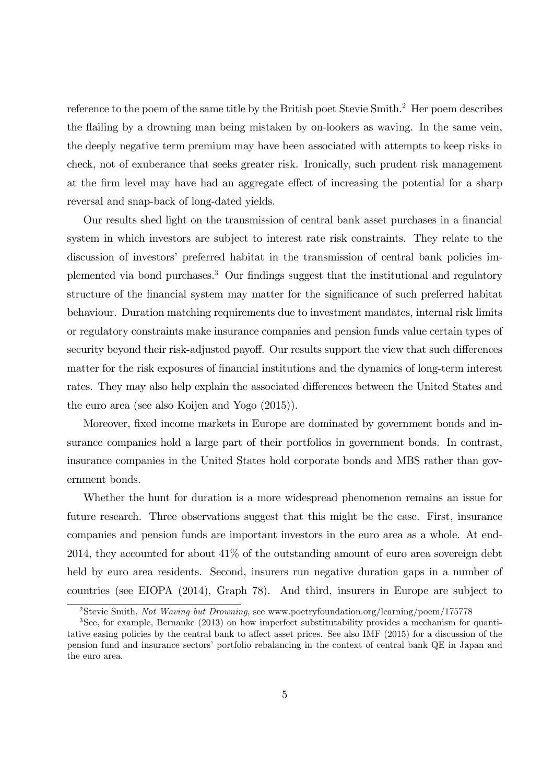reference to the poem of the same title by the British poet Stevie Smith.<sup>2</sup> Her poem describes the áailing by a drowning man being mistaken by on-lookers as waving. In the same vein, the deeply negative term premium may have been associated with attempts to keep risks in check, not of exuberance that seeks greater risk. Ironically, such prudent risk management at the firm level may have had an aggregate effect of increasing the potential for a sharp reversal and snap-back of long-dated yields.

Our results shed light on the transmission of central bank asset purchases in a financial system in which investors are subject to interest rate risk constraints. They relate to the discussion of investors' preferred habitat in the transmission of central bank policies implemented via bond purchases.<sup>3</sup> Our findings suggest that the institutional and regulatory structure of the financial system may matter for the significance of such preferred habitat behaviour. Duration matching requirements due to investment mandates, internal risk limits or regulatory constraints make insurance companies and pension funds value certain types of security beyond their risk-adjusted payoff. Our results support the view that such differences matter for the risk exposures of financial institutions and the dynamics of long-term interest rates. They may also help explain the associated differences between the United States and the euro area (see also Koijen and Yogo (2015)).

Moreover, fixed income markets in Europe are dominated by government bonds and insurance companies hold a large part of their portfolios in government bonds. In contrast, insurance companies in the United States hold corporate bonds and MBS rather than government bonds.

Whether the hunt for duration is a more widespread phenomenon remains an issue for future research. Three observations suggest that this might be the case. First, insurance companies and pension funds are important investors in the euro area as a whole. At end-2014, they accounted for about 41% of the outstanding amount of euro area sovereign debt held by euro area residents. Second, insurers run negative duration gaps in a number of countries (see EIOPA (2014), Graph 78). And third, insurers in Europe are subject to

<sup>&</sup>lt;sup>2</sup>Stevie Smith, Not Waving but Drowning, see www.poetryfoundation.org/learning/poem/175778

<sup>&</sup>lt;sup>3</sup>See, for example, Bernanke (2013) on how imperfect substitutability provides a mechanism for quantitative easing policies by the central bank to affect asset prices. See also IMF  $(2015)$  for a discussion of the pension fund and insurance sectors' portfolio rebalancing in the context of central bank QE in Japan and the euro area.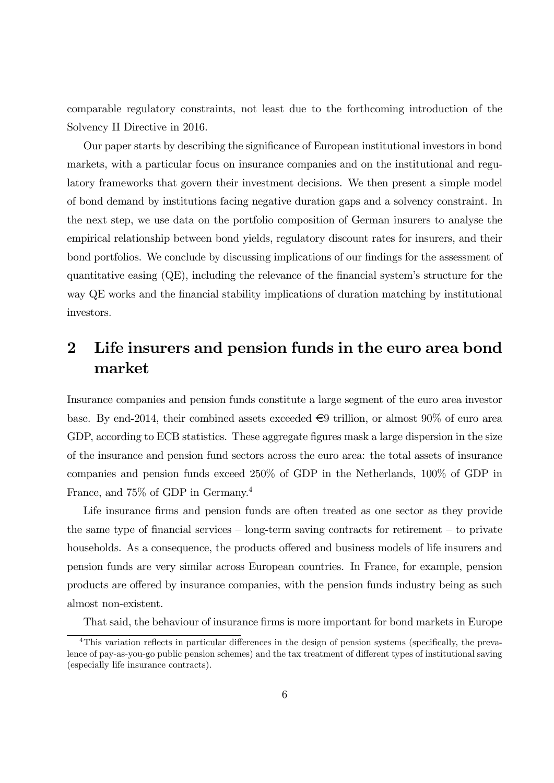comparable regulatory constraints, not least due to the forthcoming introduction of the Solvency II Directive in 2016.

Our paper starts by describing the significance of European institutional investors in bond markets, with a particular focus on insurance companies and on the institutional and regulatory frameworks that govern their investment decisions. We then present a simple model of bond demand by institutions facing negative duration gaps and a solvency constraint. In the next step, we use data on the portfolio composition of German insurers to analyse the empirical relationship between bond yields, regulatory discount rates for insurers, and their bond portfolios. We conclude by discussing implications of our findings for the assessment of quantitative easing  $(QE)$ , including the relevance of the financial system's structure for the way QE works and the Önancial stability implications of duration matching by institutional investors.

## 2 Life insurers and pension funds in the euro area bond market

Insurance companies and pension funds constitute a large segment of the euro area investor base. By end-2014, their combined assets exceeded  $\epsilon$ 9 trillion, or almost 90% of euro area GDP, according to ECB statistics. These aggregate figures mask a large dispersion in the size of the insurance and pension fund sectors across the euro area: the total assets of insurance companies and pension funds exceed 250% of GDP in the Netherlands, 100% of GDP in France, and 75% of GDP in Germany.<sup>4</sup>

Life insurance firms and pension funds are often treated as one sector as they provide the same type of financial services  $\overline{\phantom{a}}$  long-term saving contracts for retirement  $\overline{\phantom{a}}$  to private households. As a consequence, the products offered and business models of life insurers and pension funds are very similar across European countries. In France, for example, pension products are offered by insurance companies, with the pension funds industry being as such almost non-existent.

That said, the behaviour of insurance firms is more important for bond markets in Europe

<sup>&</sup>lt;sup>4</sup>This variation reflects in particular differences in the design of pension systems (specifically, the prevalence of pay-as-you-go public pension schemes) and the tax treatment of different types of institutional saving (especially life insurance contracts).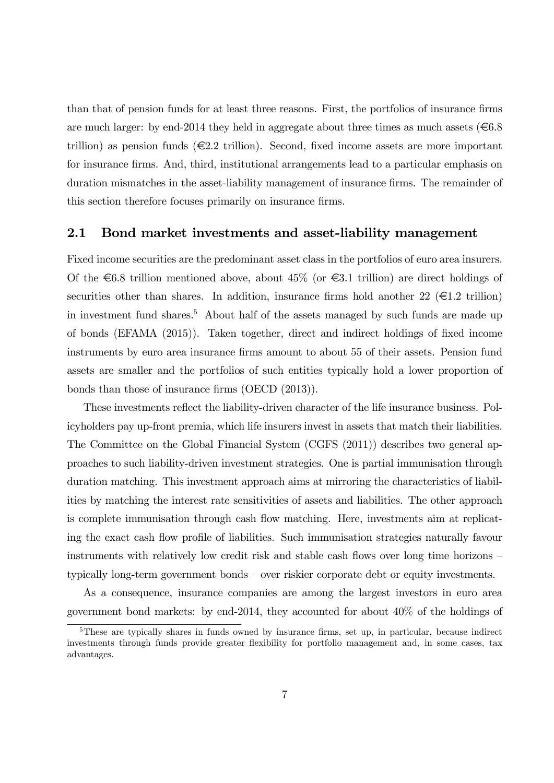than that of pension funds for at least three reasons. First, the portfolios of insurance firms are much larger: by end-2014 they held in aggregate about three times as much assets ( $\epsilon$ 6.8) trillion) as pension funds  $\in \mathbb{Z}$  trillion). Second, fixed income assets are more important for insurance firms. And, third, institutional arrangements lead to a particular emphasis on duration mismatches in the asset-liability management of insurance firms. The remainder of this section therefore focuses primarily on insurance firms.

#### 2.1 Bond market investments and asset-liability management

Fixed income securities are the predominant asset class in the portfolios of euro area insurers. Of the  $\epsilon$ 6.8 trillion mentioned above, about 45% (or  $\epsilon$ 3.1 trillion) are direct holdings of securities other than shares. In addition, insurance firms hold another 22 ( $\in$ 1.2 trillion) in investment fund shares.<sup>5</sup> About half of the assets managed by such funds are made up of bonds (EFAMA (2015)). Taken together, direct and indirect holdings of fixed income instruments by euro area insurance firms amount to about 55 of their assets. Pension fund assets are smaller and the portfolios of such entities typically hold a lower proportion of bonds than those of insurance firms  $(OECD (2013)).$ 

These investments reflect the liability-driven character of the life insurance business. Policyholders pay up-front premia, which life insurers invest in assets that match their liabilities. The Committee on the Global Financial System (CGFS (2011)) describes two general approaches to such liability-driven investment strategies. One is partial immunisation through duration matching. This investment approach aims at mirroring the characteristics of liabilities by matching the interest rate sensitivities of assets and liabilities. The other approach is complete immunisation through cash flow matching. Here, investments aim at replicating the exact cash flow profile of liabilities. Such immunisation strategies naturally favour instruments with relatively low credit risk and stable cash flows over long time horizons – typically long-term government bonds – over riskier corporate debt or equity investments.

As a consequence, insurance companies are among the largest investors in euro area government bond markets: by end-2014, they accounted for about 40% of the holdings of

 $5$ These are typically shares in funds owned by insurance firms, set up, in particular, because indirect investments through funds provide greater flexibility for portfolio management and, in some cases, tax advantages.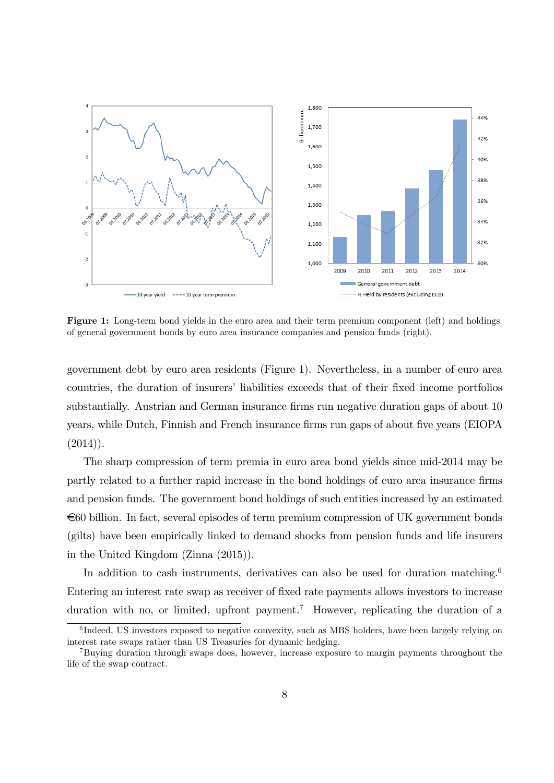

Figure 1: Long-term bond yields in the euro area and their term premium component (left) and holdings of general government bonds by euro area insurance companies and pension funds (right).

government debt by euro area residents (Figure 1). Nevertheless, in a number of euro area countries, the duration of insurers' liabilities exceeds that of their fixed income portfolios substantially. Austrian and German insurance firms run negative duration gaps of about 10 years, while Dutch, Finnish and French insurance firms run gaps of about five years (EIOPA)  $(2014)$ ).

The sharp compression of term premia in euro area bond yields since mid-2014 may be partly related to a further rapid increase in the bond holdings of euro area insurance firms and pension funds. The government bond holdings of such entities increased by an estimated  $\epsilon$ 60 billion. In fact, several episodes of term premium compression of UK government bonds (gilts) have been empirically linked to demand shocks from pension funds and life insurers in the United Kingdom (Zinna (2015)).

In addition to cash instruments, derivatives can also be used for duration matching.<sup>6</sup> Entering an interest rate swap as receiver of Öxed rate payments allows investors to increase duration with no, or limited, upfront payment.<sup>7</sup> However, replicating the duration of a

<sup>&</sup>lt;sup>6</sup>Indeed, US investors exposed to negative convexity, such as MBS holders, have been largely relying on interest rate swaps rather than US Treasuries for dynamic hedging.

<sup>&</sup>lt;sup>7</sup>Buying duration through swaps does, however, increase exposure to margin payments throughout the life of the swap contract.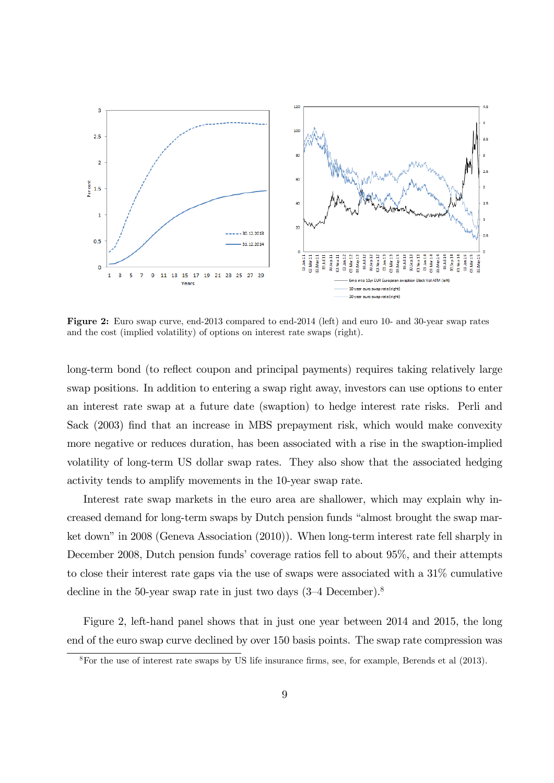

Figure 2: Euro swap curve, end-2013 compared to end-2014 (left) and euro 10- and 30-year swap rates and the cost (implied volatility) of options on interest rate swaps (right).

long-term bond (to reflect coupon and principal payments) requires taking relatively large swap positions. In addition to entering a swap right away, investors can use options to enter an interest rate swap at a future date (swaption) to hedge interest rate risks. Perli and Sack (2003) find that an increase in MBS prepayment risk, which would make convexity more negative or reduces duration, has been associated with a rise in the swaption-implied volatility of long-term US dollar swap rates. They also show that the associated hedging activity tends to amplify movements in the 10-year swap rate.

Interest rate swap markets in the euro area are shallower, which may explain why increased demand for long-term swaps by Dutch pension funds "almost brought the swap market down" in 2008 (Geneva Association  $(2010)$ ). When long-term interest rate fell sharply in December 2008, Dutch pension funds' coverage ratios fell to about 95%, and their attempts to close their interest rate gaps via the use of swaps were associated with a 31% cumulative decline in the 50-year swap rate in just two days  $(3-4)$  December).<sup>8</sup>

Figure 2, left-hand panel shows that in just one year between 2014 and 2015, the long end of the euro swap curve declined by over 150 basis points. The swap rate compression was

 $8$ For the use of interest rate swaps by US life insurance firms, see, for example, Berends et al (2013).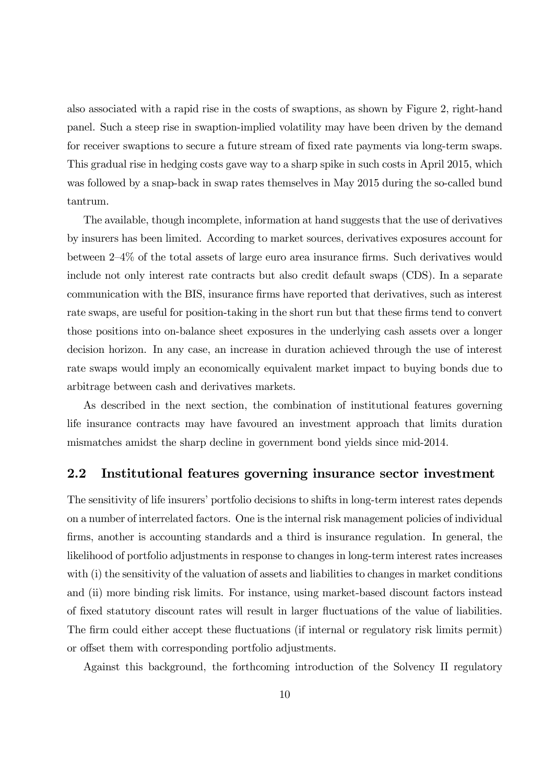also associated with a rapid rise in the costs of swaptions, as shown by Figure 2, right-hand panel. Such a steep rise in swaption-implied volatility may have been driven by the demand for receiver swaptions to secure a future stream of fixed rate payments via long-term swaps. This gradual rise in hedging costs gave way to a sharp spike in such costs in April 2015, which was followed by a snap-back in swap rates themselves in May 2015 during the so-called bund tantrum.

The available, though incomplete, information at hand suggests that the use of derivatives by insurers has been limited. According to market sources, derivatives exposures account for between  $2-4\%$  of the total assets of large euro area insurance firms. Such derivatives would include not only interest rate contracts but also credit default swaps (CDS). In a separate communication with the BIS, insurance Örms have reported that derivatives, such as interest rate swaps, are useful for position-taking in the short run but that these firms tend to convert those positions into on-balance sheet exposures in the underlying cash assets over a longer decision horizon. In any case, an increase in duration achieved through the use of interest rate swaps would imply an economically equivalent market impact to buying bonds due to arbitrage between cash and derivatives markets.

As described in the next section, the combination of institutional features governing life insurance contracts may have favoured an investment approach that limits duration mismatches amidst the sharp decline in government bond yields since mid-2014.

#### 2.2 Institutional features governing insurance sector investment

The sensitivity of life insurers' portfolio decisions to shifts in long-term interest rates depends on a number of interrelated factors. One is the internal risk management policies of individual firms, another is accounting standards and a third is insurance regulation. In general, the likelihood of portfolio adjustments in response to changes in long-term interest rates increases with (i) the sensitivity of the valuation of assets and liabilities to changes in market conditions and (ii) more binding risk limits. For instance, using market-based discount factors instead of fixed statutory discount rates will result in larger fluctuations of the value of liabilities. The firm could either accept these fluctuations (if internal or regulatory risk limits permit) or offset them with corresponding portfolio adjustments.

Against this background, the forthcoming introduction of the Solvency II regulatory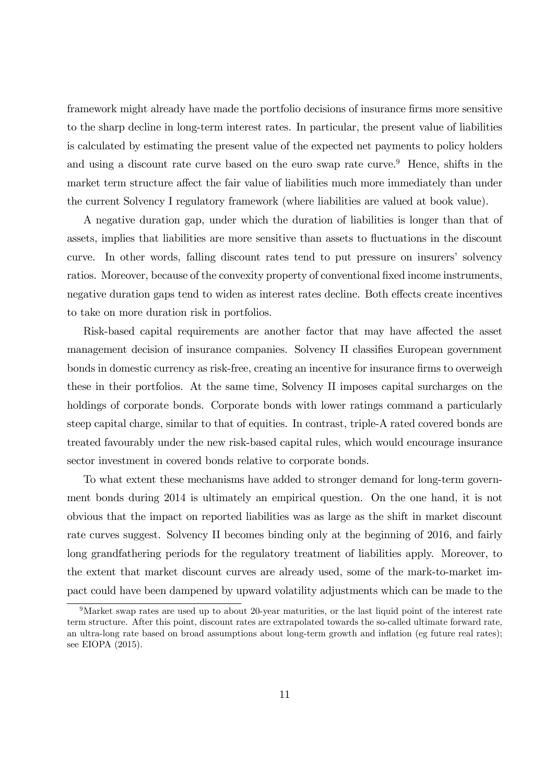framework might already have made the portfolio decisions of insurance firms more sensitive to the sharp decline in long-term interest rates. In particular, the present value of liabilities is calculated by estimating the present value of the expected net payments to policy holders and using a discount rate curve based on the euro swap rate curve.<sup>9</sup> Hence, shifts in the market term structure affect the fair value of liabilities much more immediately than under the current Solvency I regulatory framework (where liabilities are valued at book value).

A negative duration gap, under which the duration of liabilities is longer than that of assets, implies that liabilities are more sensitive than assets to fluctuations in the discount curve. In other words, falling discount rates tend to put pressure on insurers' solvency ratios. Moreover, because of the convexity property of conventional fixed income instruments, negative duration gaps tend to widen as interest rates decline. Both effects create incentives to take on more duration risk in portfolios.

Risk-based capital requirements are another factor that may have affected the asset management decision of insurance companies. Solvency II classifies European government bonds in domestic currency as risk-free, creating an incentive for insurance firms to overweigh these in their portfolios. At the same time, Solvency II imposes capital surcharges on the holdings of corporate bonds. Corporate bonds with lower ratings command a particularly steep capital charge, similar to that of equities. In contrast, triple-A rated covered bonds are treated favourably under the new risk-based capital rules, which would encourage insurance sector investment in covered bonds relative to corporate bonds.

To what extent these mechanisms have added to stronger demand for long-term government bonds during 2014 is ultimately an empirical question. On the one hand, it is not obvious that the impact on reported liabilities was as large as the shift in market discount rate curves suggest. Solvency II becomes binding only at the beginning of 2016, and fairly long grandfathering periods for the regulatory treatment of liabilities apply. Moreover, to the extent that market discount curves are already used, some of the mark-to-market impact could have been dampened by upward volatility adjustments which can be made to the

 $9$ Market swap rates are used up to about 20-year maturities, or the last liquid point of the interest rate term structure. After this point, discount rates are extrapolated towards the so-called ultimate forward rate, an ultra-long rate based on broad assumptions about long-term growth and inflation (eg future real rates); see EIOPA (2015).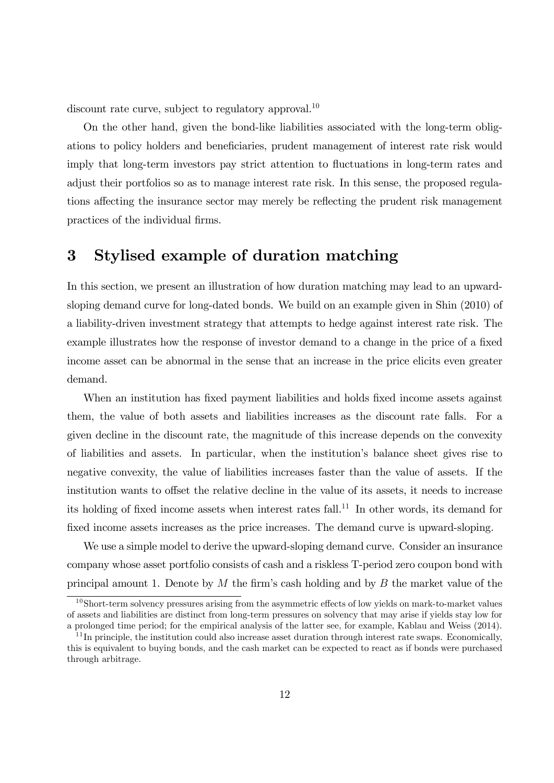discount rate curve, subject to regulatory approval.<sup>10</sup>

On the other hand, given the bond-like liabilities associated with the long-term obligations to policy holders and beneficiaries, prudent management of interest rate risk would imply that long-term investors pay strict attention to fluctuations in long-term rates and adjust their portfolios so as to manage interest rate risk. In this sense, the proposed regulations affecting the insurance sector may merely be reflecting the prudent risk management practices of the individual firms.

## 3 Stylised example of duration matching

In this section, we present an illustration of how duration matching may lead to an upwardsloping demand curve for long-dated bonds. We build on an example given in Shin (2010) of a liability-driven investment strategy that attempts to hedge against interest rate risk. The example illustrates how the response of investor demand to a change in the price of a fixed income asset can be abnormal in the sense that an increase in the price elicits even greater demand.

When an institution has fixed payment liabilities and holds fixed income assets against them, the value of both assets and liabilities increases as the discount rate falls. For a given decline in the discount rate, the magnitude of this increase depends on the convexity of liabilities and assets. In particular, when the institutionís balance sheet gives rise to negative convexity, the value of liabilities increases faster than the value of assets. If the institution wants to offset the relative decline in the value of its assets, it needs to increase its holding of fixed income assets when interest rates fall.<sup>11</sup> In other words, its demand for fixed income assets increases as the price increases. The demand curve is upward-sloping.

We use a simple model to derive the upward-sloping demand curve. Consider an insurance company whose asset portfolio consists of cash and a riskless T-period zero coupon bond with principal amount 1. Denote by  $M$  the firm's cash holding and by  $B$  the market value of the

 $10S$ hort-term solvency pressures arising from the asymmetric effects of low yields on mark-to-market values of assets and liabilities are distinct from long-term pressures on solvency that may arise if yields stay low for a prolonged time period; for the empirical analysis of the latter see, for example, Kablau and Weiss (2014).

 $11$  In principle, the institution could also increase asset duration through interest rate swaps. Economically, this is equivalent to buying bonds, and the cash market can be expected to react as if bonds were purchased through arbitrage.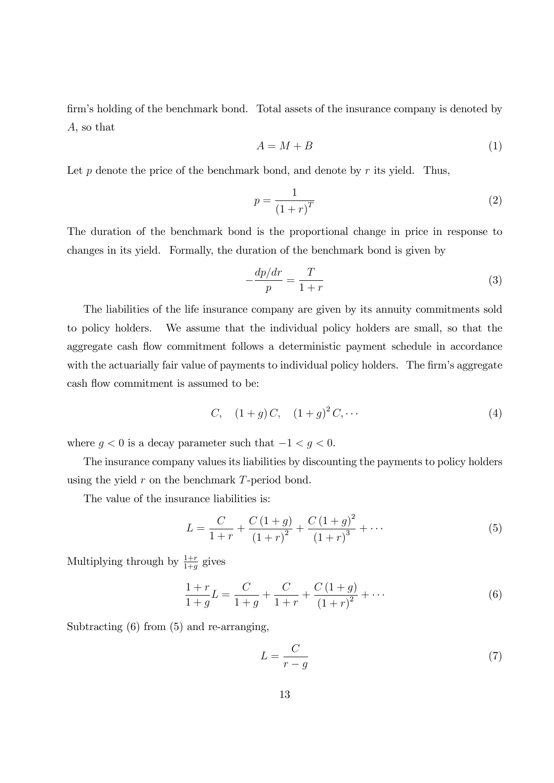firm's holding of the benchmark bond. Total assets of the insurance company is denoted by A, so that

$$
A = M + B \tag{1}
$$

Let  $p$  denote the price of the benchmark bond, and denote by  $r$  its yield. Thus,

$$
p = \frac{1}{\left(1+r\right)^{T}}\tag{2}
$$

The duration of the benchmark bond is the proportional change in price in response to changes in its yield. Formally, the duration of the benchmark bond is given by

$$
-\frac{dp/dr}{p} = \frac{T}{1+r}
$$
\n(3)

The liabilities of the life insurance company are given by its annuity commitments sold to policy holders. We assume that the individual policy holders are small, so that the aggregate cash flow commitment follows a deterministic payment schedule in accordance with the actuarially fair value of payments to individual policy holders. The firm's aggregate cash flow commitment is assumed to be:

C, 
$$
(1+g)C
$$
,  $(1+g)^2 C$ ,... (4)

where  $g < 0$  is a decay parameter such that  $-1 < g < 0$ .

The insurance company values its liabilities by discounting the payments to policy holders using the yield  $r$  on the benchmark  $T$ -period bond.

The value of the insurance liabilities is:

$$
L = \frac{C}{1+r} + \frac{C(1+g)}{(1+r)^2} + \frac{C(1+g)^2}{(1+r)^3} + \cdots
$$
 (5)

Multiplying through by  $\frac{1+r}{1+g}$  gives

$$
\frac{1+r}{1+g}L = \frac{C}{1+g} + \frac{C}{1+r} + \frac{C(1+g)}{(1+r)^2} + \cdots
$$
 (6)

Subtracting (6) from (5) and re-arranging,

$$
L = \frac{C}{r - g} \tag{7}
$$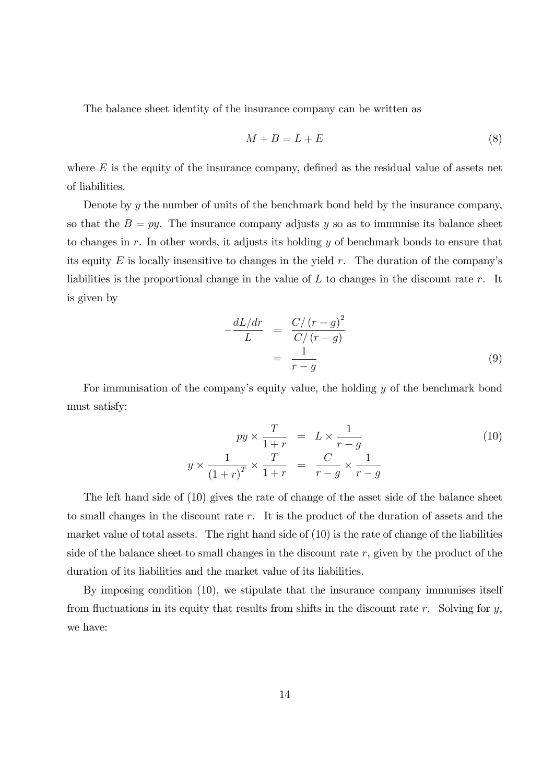The balance sheet identity of the insurance company can be written as

$$
M + B = L + E \tag{8}
$$

where  $E$  is the equity of the insurance company, defined as the residual value of assets net of liabilities.

Denote by y the number of units of the benchmark bond held by the insurance company, so that the  $B = py$ . The insurance company adjusts y so as to immunise its balance sheet to changes in r. In other words, it adjusts its holding  $y$  of benchmark bonds to ensure that its equity E is locally insensitive to changes in the yield r. The duration of the company's liabilities is the proportional change in the value of  $L$  to changes in the discount rate  $r$ . It is given by

$$
-\frac{dL/dr}{L} = \frac{C/(r-g)^2}{C/(r-g)}
$$

$$
= \frac{1}{r-g}
$$
(9)

For immunisation of the company's equity value, the holding y of the benchmark bond must satisfy:

$$
py \times \frac{T}{1+r} = L \times \frac{1}{r-g}
$$
  

$$
y \times \frac{1}{(1+r)^T} \times \frac{T}{1+r} = \frac{C}{r-g} \times \frac{1}{r-g}
$$
 (10)

The left hand side of (10) gives the rate of change of the asset side of the balance sheet to small changes in the discount rate r. It is the product of the duration of assets and the market value of total assets. The right hand side of  $(10)$  is the rate of change of the liabilities side of the balance sheet to small changes in the discount rate  $r$ , given by the product of the duration of its liabilities and the market value of its liabilities.

By imposing condition (10), we stipulate that the insurance company immunises itself from fluctuations in its equity that results from shifts in the discount rate r. Solving for  $y$ , we have: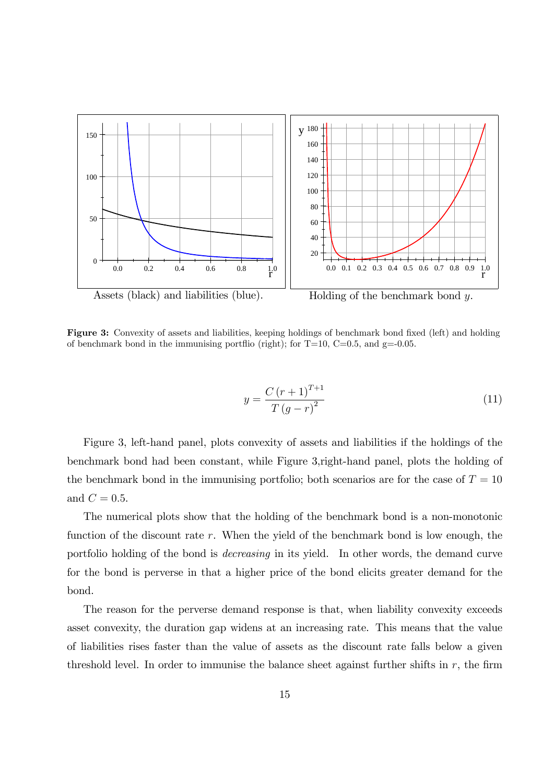

Figure 3: Convexity of assets and liabilities, keeping holdings of benchmark bond fixed (left) and holding of benchmark bond in the immunising portflio (right); for  $T=10$ ,  $C=0.5$ , and  $g=-0.05$ .

$$
y = \frac{C(r+1)^{T+1}}{T(g-r)^{2}}
$$
\n(11)

Figure 3, left-hand panel, plots convexity of assets and liabilities if the holdings of the benchmark bond had been constant, while Figure 3,right-hand panel, plots the holding of the benchmark bond in the immunising portfolio; both scenarios are for the case of  $T = 10$ and  $C = 0.5$ .

The numerical plots show that the holding of the benchmark bond is a non-monotonic function of the discount rate  $r$ . When the yield of the benchmark bond is low enough, the portfolio holding of the bond is decreasing in its yield. In other words, the demand curve for the bond is perverse in that a higher price of the bond elicits greater demand for the bond.

The reason for the perverse demand response is that, when liability convexity exceeds asset convexity, the duration gap widens at an increasing rate. This means that the value of liabilities rises faster than the value of assets as the discount rate falls below a given threshold level. In order to immunise the balance sheet against further shifts in  $r$ , the firm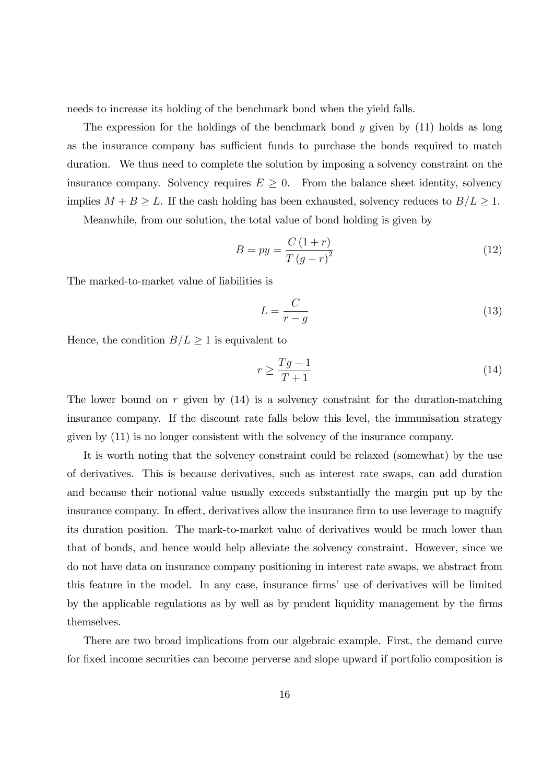needs to increase its holding of the benchmark bond when the yield falls.

The expression for the holdings of the benchmark bond  $y$  given by  $(11)$  holds as long as the insurance company has sufficient funds to purchase the bonds required to match duration. We thus need to complete the solution by imposing a solvency constraint on the insurance company. Solvency requires  $E \geq 0$ . From the balance sheet identity, solvency implies  $M + B \geq L$ . If the cash holding has been exhausted, solvency reduces to  $B/L \geq 1$ .

Meanwhile, from our solution, the total value of bond holding is given by

$$
B = py = \frac{C(1+r)}{T(g-r)^2}
$$
\n<sup>(12)</sup>

The marked-to-market value of liabilities is

$$
L = \frac{C}{r - g} \tag{13}
$$

Hence, the condition  $B/L \ge 1$  is equivalent to

$$
r \ge \frac{Tg - 1}{T + 1} \tag{14}
$$

The lower bound on r given by  $(14)$  is a solvency constraint for the duration-matching insurance company. If the discount rate falls below this level, the immunisation strategy given by (11) is no longer consistent with the solvency of the insurance company.

It is worth noting that the solvency constraint could be relaxed (somewhat) by the use of derivatives. This is because derivatives, such as interest rate swaps, can add duration and because their notional value usually exceeds substantially the margin put up by the insurance company. In effect, derivatives allow the insurance firm to use leverage to magnify its duration position. The mark-to-market value of derivatives would be much lower than that of bonds, and hence would help alleviate the solvency constraint. However, since we do not have data on insurance company positioning in interest rate swaps, we abstract from this feature in the model. In any case, insurance firms' use of derivatives will be limited by the applicable regulations as by well as by prudent liquidity management by the firms themselves.

There are two broad implications from our algebraic example. First, the demand curve for fixed income securities can become perverse and slope upward if portfolio composition is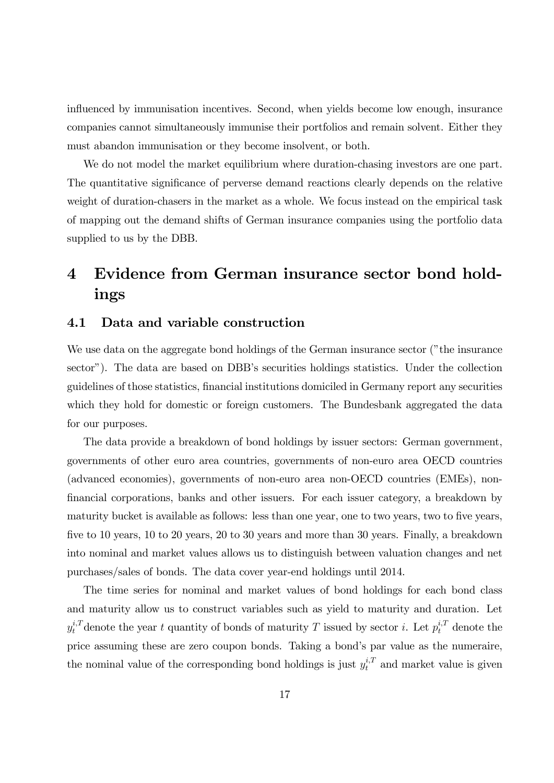influenced by immunisation incentives. Second, when yields become low enough, insurance companies cannot simultaneously immunise their portfolios and remain solvent. Either they must abandon immunisation or they become insolvent, or both.

We do not model the market equilibrium where duration-chasing investors are one part. The quantitative significance of perverse demand reactions clearly depends on the relative weight of duration-chasers in the market as a whole. We focus instead on the empirical task of mapping out the demand shifts of German insurance companies using the portfolio data supplied to us by the DBB.

# 4 Evidence from German insurance sector bond holdings

#### 4.1 Data and variable construction

We use data on the aggregate bond holdings of the German insurance sector ("the insurance sector"). The data are based on DBB's securities holdings statistics. Under the collection guidelines of those statistics, Önancial institutions domiciled in Germany report any securities which they hold for domestic or foreign customers. The Bundesbank aggregated the data for our purposes.

The data provide a breakdown of bond holdings by issuer sectors: German government, governments of other euro area countries, governments of non-euro area OECD countries (advanced economies), governments of non-euro area non-OECD countries (EMEs), nonfinancial corporations, banks and other issuers. For each issuer category, a breakdown by maturity bucket is available as follows: less than one year, one to two years, two to five years, five to 10 years, 10 to 20 years, 20 to 30 years and more than 30 years. Finally, a breakdown into nominal and market values allows us to distinguish between valuation changes and net purchases/sales of bonds. The data cover year-end holdings until 2014.

The time series for nominal and market values of bond holdings for each bond class and maturity allow us to construct variables such as yield to maturity and duration. Let  $y_t^{i,T}$  denote the year t quantity of bonds of maturity T issued by sector i. Let  $p_t^{i,T}$  denote the price assuming these are zero coupon bonds. Taking a bond's par value as the numeraire, the nominal value of the corresponding bond holdings is just  $y_t^{i,T}$  and market value is given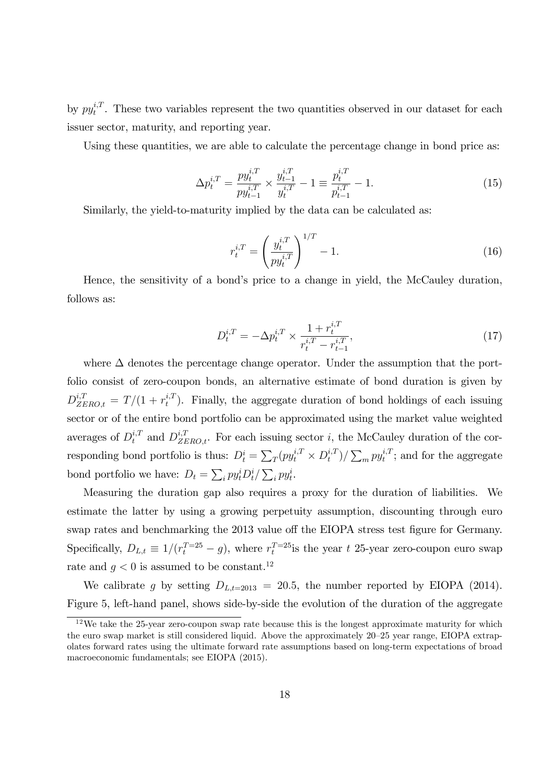by  $py_t^{i,T}$  $t_t^{i,t}$ . These two variables represent the two quantities observed in our dataset for each issuer sector, maturity, and reporting year.

Using these quantities, we are able to calculate the percentage change in bond price as:

$$
\Delta p_t^{i,T} = \frac{p y_t^{i,T}}{p y_{t-1}^{i,T}} \times \frac{y_{t-1}^{i,T}}{y_t^{i,T}} - 1 \equiv \frac{p_t^{i,T}}{p_{t-1}^{i,T}} - 1.
$$
\n(15)

Similarly, the yield-to-maturity implied by the data can be calculated as:

$$
r_t^{i,T} = \left(\frac{y_t^{i,T}}{py_t^{i,T}}\right)^{1/T} - 1.
$$
\n(16)

Hence, the sensitivity of a bond's price to a change in yield, the McCauley duration, follows as:

$$
D_t^{i,T} = -\Delta p_t^{i,T} \times \frac{1 + r_t^{i,T}}{r_t^{i,T} - r_{t-1}^{i,T}},\tag{17}
$$

where  $\Delta$  denotes the percentage change operator. Under the assumption that the portfolio consist of zero-coupon bonds, an alternative estimate of bond duration is given by  $D_{ZERO,t}^{i,T} = T/(1 + r_t^{i,T})$  $t_t^{i,t}$ ). Finally, the aggregate duration of bond holdings of each issuing sector or of the entire bond portfolio can be approximated using the market value weighted averages of  $D_t^{i,T}$  and  $D_{ZERO,t}^{i,T}$ . For each issuing sector i, the McCauley duration of the corresponding bond portfolio is thus:  $D_t^i = \sum_T (py_t^{i,T} \times D_t^{i,T})$  $(t_i^{i,T})/\sum_m py_t^{i,T}$  $t_t^{i,1}$ ; and for the aggregate bond portfolio we have:  $D_t = \sum_i py_t^i D_t^i / \sum_i py_t^i$ .

Measuring the duration gap also requires a proxy for the duration of liabilities. We estimate the latter by using a growing perpetuity assumption, discounting through euro swap rates and benchmarking the 2013 value off the EIOPA stress test figure for Germany. Specifically,  $D_{L,t} \equiv 1/(r_t^{T=25} - g)$ , where  $r_t^{T=25}$  is the year t 25-year zero-coupon euro swap rate and  $q < 0$  is assumed to be constant.<sup>12</sup>

We calibrate g by setting  $D_{L,t=2013} = 20.5$ , the number reported by EIOPA (2014). Figure 5, left-hand panel, shows side-by-side the evolution of the duration of the aggregate

<sup>&</sup>lt;sup>12</sup>We take the 25-year zero-coupon swap rate because this is the longest approximate maturity for which the euro swap market is still considered liquid. Above the approximately  $20-25$  year range, EIOPA extrapolates forward rates using the ultimate forward rate assumptions based on long-term expectations of broad macroeconomic fundamentals; see EIOPA (2015).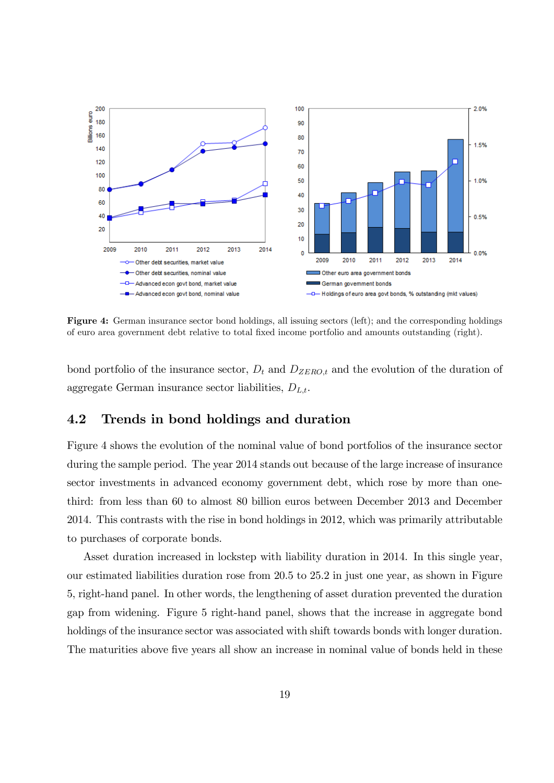

Figure 4: German insurance sector bond holdings, all issuing sectors (left); and the corresponding holdings of euro area government debt relative to total Öxed income portfolio and amounts outstanding (right).

bond portfolio of the insurance sector,  $D_t$  and  $D_{ZERO,t}$  and the evolution of the duration of aggregate German insurance sector liabilities,  $D_{L,t}$ .

#### 4.2 Trends in bond holdings and duration

Figure 4 shows the evolution of the nominal value of bond portfolios of the insurance sector during the sample period. The year 2014 stands out because of the large increase of insurance sector investments in advanced economy government debt, which rose by more than onethird: from less than 60 to almost 80 billion euros between December 2013 and December 2014. This contrasts with the rise in bond holdings in 2012, which was primarily attributable to purchases of corporate bonds.

Asset duration increased in lockstep with liability duration in 2014. In this single year, our estimated liabilities duration rose from 20.5 to 25.2 in just one year, as shown in Figure 5, right-hand panel. In other words, the lengthening of asset duration prevented the duration gap from widening. Figure 5 right-hand panel, shows that the increase in aggregate bond holdings of the insurance sector was associated with shift towards bonds with longer duration. The maturities above five years all show an increase in nominal value of bonds held in these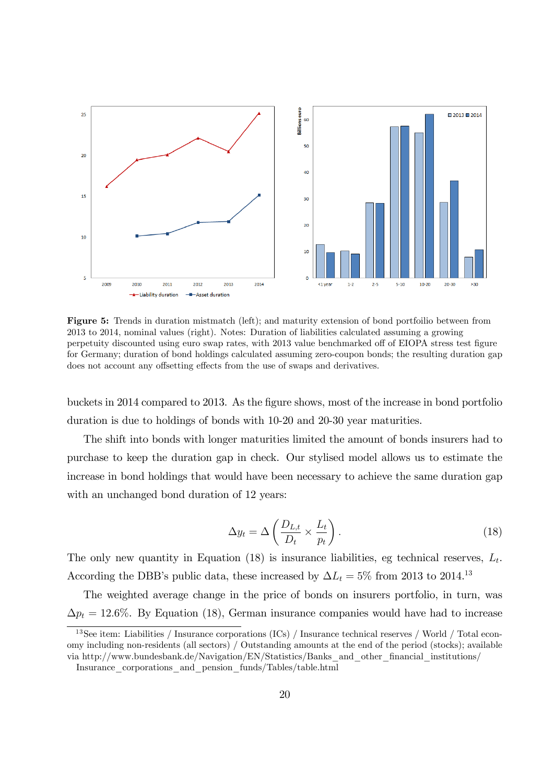

Figure 5: Trends in duration mistmatch (left); and maturity extension of bond portfoilio between from 2013 to 2014, nominal values (right). Notes: Duration of liabilities calculated assuming a growing perpetuity discounted using euro swap rates, with 2013 value benchmarked off of EIOPA stress test figure for Germany; duration of bond holdings calculated assuming zero-coupon bonds; the resulting duration gap does not account any offsetting effects from the use of swaps and derivatives.

buckets in 2014 compared to 2013. As the Ögure shows, most of the increase in bond portfolio duration is due to holdings of bonds with 10-20 and 20-30 year maturities.

The shift into bonds with longer maturities limited the amount of bonds insurers had to purchase to keep the duration gap in check. Our stylised model allows us to estimate the increase in bond holdings that would have been necessary to achieve the same duration gap with an unchanged bond duration of 12 years:

$$
\Delta y_t = \Delta \left( \frac{D_{L,t}}{D_t} \times \frac{L_t}{p_t} \right). \tag{18}
$$

The only new quantity in Equation (18) is insurance liabilities, eg technical reserves,  $L_t$ . According the DBB's public data, these increased by  $\Delta L_t = 5\%$  from 2013 to 2014.<sup>13</sup>

The weighted average change in the price of bonds on insurers portfolio, in turn, was  $\Delta p_t = 12.6\%$ . By Equation (18), German insurance companies would have had to increase

<sup>&</sup>lt;sup>13</sup>See item: Liabilities / Insurance corporations (ICs) / Insurance technical reserves / World / Total economy including non-residents (all sectors) / Outstanding amounts at the end of the period (stocks); available via http://www.bundesbank.de/Navigation/EN/Statistics/Banks\_and\_other\_Önancial\_institutions/

Insurance\_corporations\_and\_pension\_funds/Tables/table.html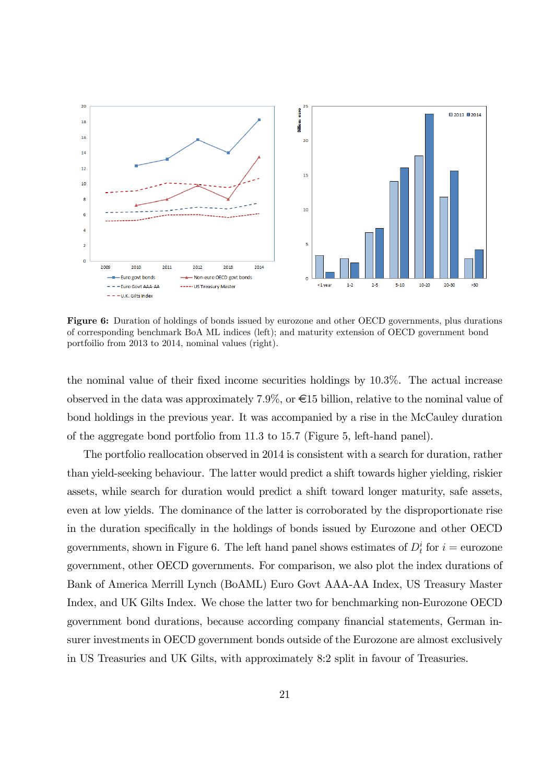

Figure 6: Duration of holdings of bonds issued by eurozone and other OECD governments, plus durations of corresponding benchmark BoA ML indices (left); and maturity extension of OECD government bond portfoilio from 2013 to 2014, nominal values (right).

the nominal value of their fixed income securities holdings by 10.3%. The actual increase observed in the data was approximately 7.9%, or  $\epsilon$ 15 billion, relative to the nominal value of bond holdings in the previous year. It was accompanied by a rise in the McCauley duration of the aggregate bond portfolio from 11:3 to 15:7 (Figure 5, left-hand panel).

The portfolio reallocation observed in 2014 is consistent with a search for duration, rather than yield-seeking behaviour. The latter would predict a shift towards higher yielding, riskier assets, while search for duration would predict a shift toward longer maturity, safe assets, even at low yields. The dominance of the latter is corroborated by the disproportionate rise in the duration specifically in the holdings of bonds issued by Eurozone and other OECD governments, shown in Figure 6. The left hand panel shows estimates of  $D_t^i$  for  $i =$  eurozone government, other OECD governments. For comparison, we also plot the index durations of Bank of America Merrill Lynch (BoAML) Euro Govt AAA-AA Index, US Treasury Master Index, and UK Gilts Index. We chose the latter two for benchmarking non-Eurozone OECD government bond durations, because according company financial statements, German insurer investments in OECD government bonds outside of the Eurozone are almost exclusively in US Treasuries and UK Gilts, with approximately 8:2 split in favour of Treasuries.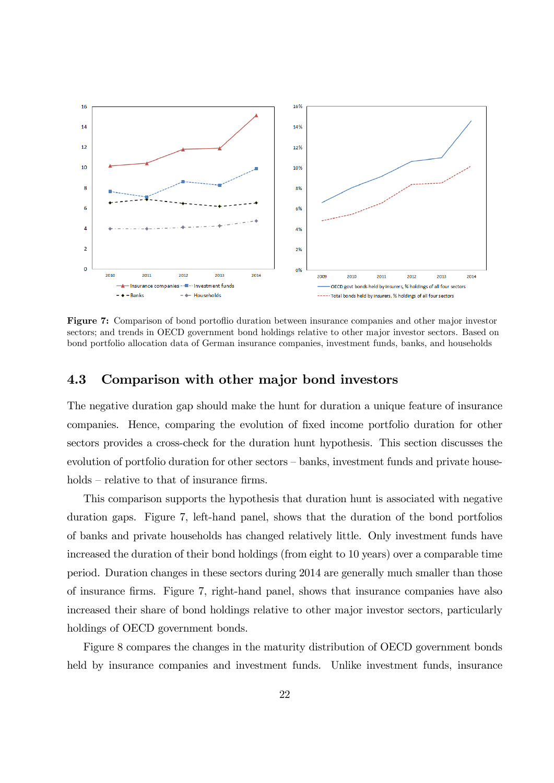

Figure 7: Comparison of bond portofilio duration between insurance companies and other major investor sectors; and trends in OECD government bond holdings relative to other major investor sectors. Based on bond portfolio allocation data of German insurance companies, investment funds, banks, and households

#### 4.3 Comparison with other major bond investors

The negative duration gap should make the hunt for duration a unique feature of insurance companies. Hence, comparing the evolution of Öxed income portfolio duration for other sectors provides a cross-check for the duration hunt hypothesis. This section discusses the evolution of portfolio duration for other sectors  $-\text{banks}$ , investment funds and private house $holds - relative to that of insurance firms.$ 

This comparison supports the hypothesis that duration hunt is associated with negative duration gaps. Figure 7, left-hand panel, shows that the duration of the bond portfolios of banks and private households has changed relatively little. Only investment funds have increased the duration of their bond holdings (from eight to 10 years) over a comparable time period. Duration changes in these sectors during 2014 are generally much smaller than those of insurance Örms. Figure 7, right-hand panel, shows that insurance companies have also increased their share of bond holdings relative to other major investor sectors, particularly holdings of OECD government bonds.

Figure 8 compares the changes in the maturity distribution of OECD government bonds held by insurance companies and investment funds. Unlike investment funds, insurance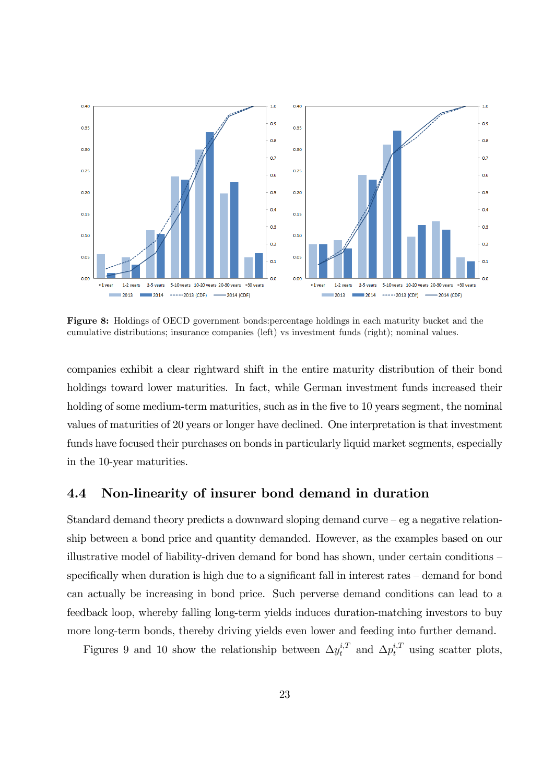

Figure 8: Holdings of OECD government bonds:percentage holdings in each maturity bucket and the cumulative distributions; insurance companies (left) vs investment funds (right); nominal values.

companies exhibit a clear rightward shift in the entire maturity distribution of their bond holdings toward lower maturities. In fact, while German investment funds increased their holding of some medium-term maturities, such as in the five to 10 years segment, the nominal values of maturities of 20 years or longer have declined. One interpretation is that investment funds have focused their purchases on bonds in particularly liquid market segments, especially in the 10-year maturities.

### 4.4 Non-linearity of insurer bond demand in duration

Standard demand theory predicts a downward sloping demand curve  $-e$ g a negative relationship between a bond price and quantity demanded. However, as the examples based on our illustrative model of liability-driven demand for bond has shown, under certain conditions  $-\frac{1}{2}$ specifically when duration is high due to a significant fall in interest rates  $-\,$  demand for bond can actually be increasing in bond price. Such perverse demand conditions can lead to a feedback loop, whereby falling long-term yields induces duration-matching investors to buy more long-term bonds, thereby driving yields even lower and feeding into further demand.

Figures 9 and 10 show the relationship between  $\Delta y_t^{i,T}$  and  $\Delta p_t^{i,T}$  using scatter plots,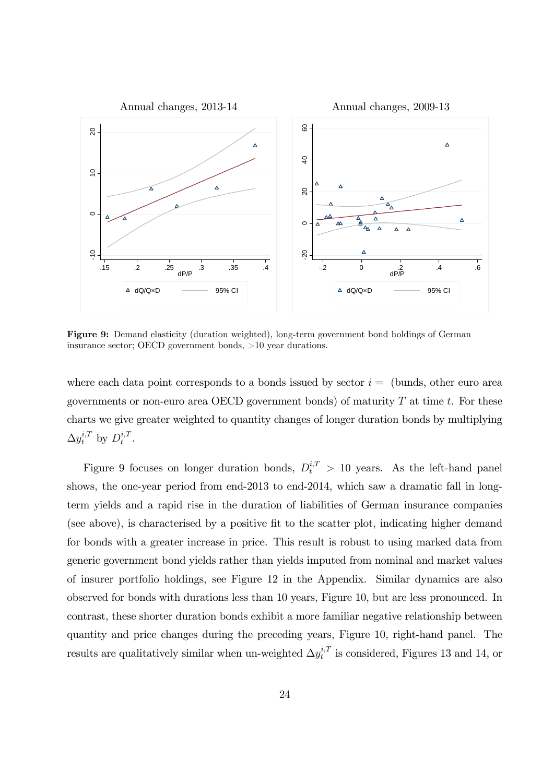

Figure 9: Demand elasticity (duration weighted), long-term government bond holdings of German insurance sector; OECD government bonds, >10 year durations.

where each data point corresponds to a bonds issued by sector  $i =$  (bunds, other euro area governments or non-euro area OECD government bonds) of maturity  $T$  at time  $t$ . For these charts we give greater weighted to quantity changes of longer duration bonds by multiplying  $\Delta y_t^{i,T}$  by  $D_t^{i,T}$  $\frac{\imath,\jmath}{t}$  .

Figure 9 focuses on longer duration bonds,  $D_t^{i,T} > 10$  years. As the left-hand panel shows, the one-year period from end-2013 to end-2014, which saw a dramatic fall in longterm yields and a rapid rise in the duration of liabilities of German insurance companies (see above), is characterised by a positive fit to the scatter plot, indicating higher demand for bonds with a greater increase in price. This result is robust to using marked data from generic government bond yields rather than yields imputed from nominal and market values of insurer portfolio holdings, see Figure 12 in the Appendix. Similar dynamics are also observed for bonds with durations less than 10 years, Figure 10, but are less pronounced. In contrast, these shorter duration bonds exhibit a more familiar negative relationship between quantity and price changes during the preceding years, Figure 10, right-hand panel. The results are qualitatively similar when un-weighted  $\Delta y_t^{i,T}$  $t_t^{i,T}$  is considered, Figures 13 and 14, or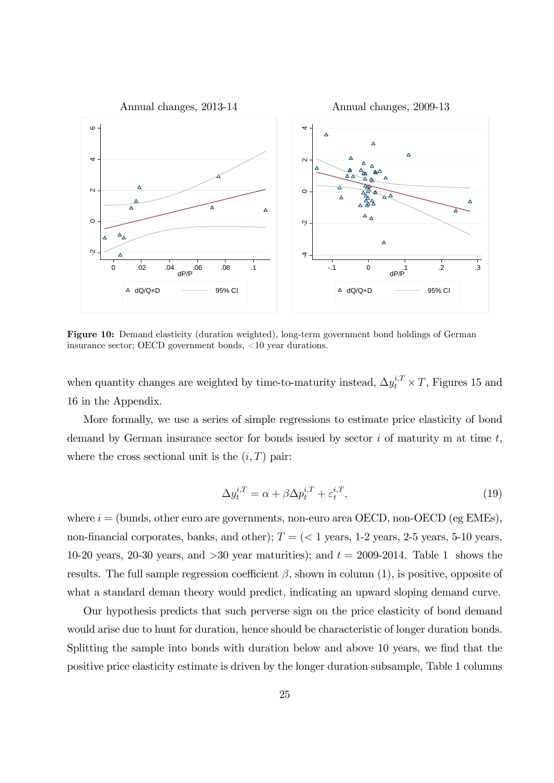

Figure 10: Demand elasticity (duration weighted), long-term government bond holdings of German insurance sector; OECD government bonds, <10 year durations.

when quantity changes are weighted by time-to-maturity instead,  $\Delta y_t^{i,T} \times T$ , Figures 15 and 16 in the Appendix.

More formally, we use a series of simple regressions to estimate price elasticity of bond demand by German insurance sector for bonds issued by sector  $i$  of maturity m at time  $t$ , where the cross sectional unit is the  $(i, T)$  pair:

$$
\Delta y_t^{i,T} = \alpha + \beta \Delta p_t^{i,T} + \varepsilon_t^{i,T},\tag{19}
$$

where  $i =$  (bunds, other euro are governments, non-euro area OECD, non-OECD (eg EMEs), non-financial corporates, banks, and other);  $T = \langle \langle 1 \rangle$  years, 1-2 years, 2-5 years, 5-10 years, 10-20 years, 20-30 years, and  $>30$  year maturities); and  $t = 2009-2014$ . Table 1 shows the results. The full sample regression coefficient  $\beta$ , shown in column (1), is positive, opposite of what a standard deman theory would predict, indicating an upward sloping demand curve.

Our hypothesis predicts that such perverse sign on the price elasticity of bond demand would arise due to hunt for duration, hence should be characteristic of longer duration bonds. Splitting the sample into bonds with duration below and above 10 years, we find that the positive price elasticity estimate is driven by the longer duration subsample, Table 1 columns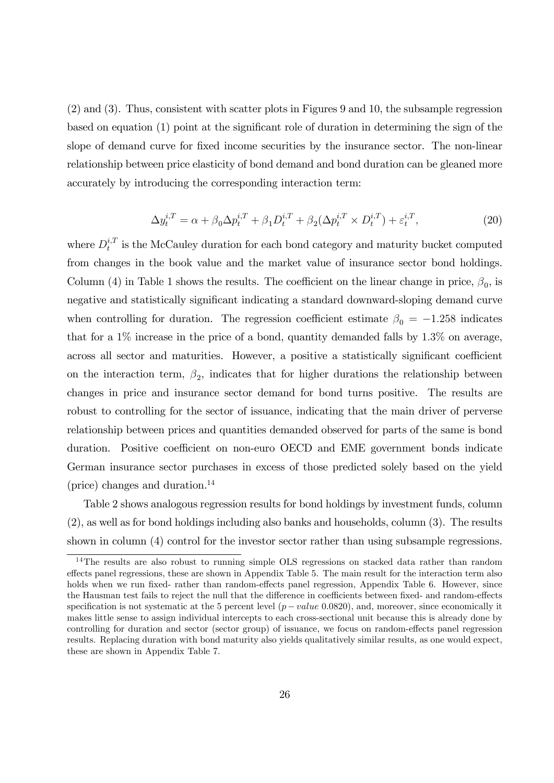(2) and (3). Thus, consistent with scatter plots in Figures 9 and 10, the subsample regression based on equation  $(1)$  point at the significant role of duration in determining the sign of the slope of demand curve for fixed income securities by the insurance sector. The non-linear relationship between price elasticity of bond demand and bond duration can be gleaned more accurately by introducing the corresponding interaction term:

$$
\Delta y_t^{i,T} = \alpha + \beta_0 \Delta p_t^{i,T} + \beta_1 D_t^{i,T} + \beta_2 (\Delta p_t^{i,T} \times D_t^{i,T}) + \varepsilon_t^{i,T},\tag{20}
$$

where  $D_t^{i,T}$  $t_t^{i,T}$  is the McCauley duration for each bond category and maturity bucket computed from changes in the book value and the market value of insurance sector bond holdings. Column (4) in Table 1 shows the results. The coefficient on the linear change in price,  $\beta_0$ , is negative and statistically significant indicating a standard downward-sloping demand curve when controlling for duration. The regression coefficient estimate  $\beta_0 = -1.258$  indicates that for a  $1\%$  increase in the price of a bond, quantity demanded falls by  $1.3\%$  on average, across all sector and maturities. However, a positive a statistically significant coefficient on the interaction term,  $\beta_2$ , indicates that for higher durations the relationship between changes in price and insurance sector demand for bond turns positive. The results are robust to controlling for the sector of issuance, indicating that the main driver of perverse relationship between prices and quantities demanded observed for parts of the same is bond duration. Positive coefficient on non-euro OECD and EME government bonds indicate German insurance sector purchases in excess of those predicted solely based on the yield (price) changes and duration. $^{14}$ 

Table 2 shows analogous regression results for bond holdings by investment funds, column (2), as well as for bond holdings including also banks and households, column (3). The results shown in column (4) control for the investor sector rather than using subsample regressions.

<sup>&</sup>lt;sup>14</sup>The results are also robust to running simple OLS regressions on stacked data rather than random effects panel regressions, these are shown in Appendix Table 5. The main result for the interaction term also holds when we run fixed- rather than random-effects panel regression, Appendix Table 6. However, since the Hausman test fails to reject the null that the difference in coefficients between fixed- and random-effects specification is not systematic at the 5 percent level  $(p-value 0.0820)$ , and, moreover, since economically it makes little sense to assign individual intercepts to each cross-sectional unit because this is already done by controlling for duration and sector (sector group) of issuance, we focus on random-effects panel regression results. Replacing duration with bond maturity also yields qualitatively similar results, as one would expect, these are shown in Appendix Table 7.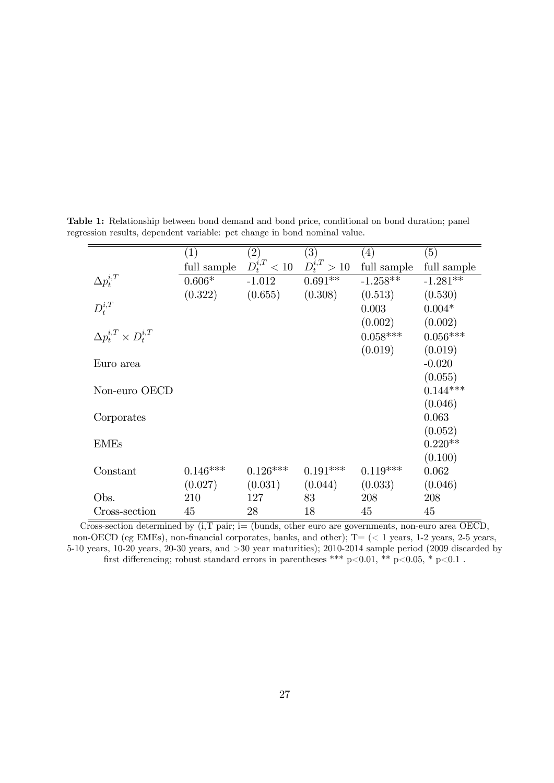|                                     | $\left( 1\right)$ | (2)        | (3)                                   | (4)         | (5)         |
|-------------------------------------|-------------------|------------|---------------------------------------|-------------|-------------|
|                                     | full sample       |            | $D_t^{i,T} < 10 \quad D_t^{i,T} > 10$ | full sample | full sample |
| $\Delta p_t^{i,T}$                  | $0.606*$          | $-1.012$   | $0.691**$                             | $-1.258**$  | $-1.281**$  |
|                                     | (0.322)           | (0.655)    | (0.308)                               | (0.513)     | (0.530)     |
| $D_t^{i,T}$                         |                   |            |                                       | 0.003       | $0.004*$    |
|                                     |                   |            |                                       | (0.002)     | (0.002)     |
| $\Delta p_t^{i,T} \times D_t^{i,T}$ |                   |            |                                       | $0.058***$  | $0.056***$  |
|                                     |                   |            |                                       | (0.019)     | (0.019)     |
| Euro area                           |                   |            |                                       |             | $-0.020$    |
|                                     |                   |            |                                       |             | (0.055)     |
| Non-euro OECD                       |                   |            |                                       |             | $0.144***$  |
|                                     |                   |            |                                       |             | (0.046)     |
| Corporates                          |                   |            |                                       |             | 0.063       |
|                                     |                   |            |                                       |             | (0.052)     |
| <b>EMEs</b>                         |                   |            |                                       |             | $0.220**$   |
|                                     |                   |            |                                       |             | (0.100)     |
| Constant                            | $0.146***$        | $0.126***$ | $0.191***$                            | $0.119***$  | 0.062       |
|                                     | (0.027)           | (0.031)    | (0.044)                               | (0.033)     | (0.046)     |
| Obs.                                | 210               | 127        | 83                                    | 208         | 208         |
| Cross-section                       | 45                | 28         | 18                                    | 45          | 45          |

Table 1: Relationship between bond demand and bond price, conditional on bond duration; panel regression results, dependent variable: pct change in bond nominal value.

Cross-section determined by  $(i, T \text{ pair}; i=$  (bunds, other euro are governments, non-euro area OECD, non-OECD (eg EMEs), non-financial corporates, banks, and other);  $T = \langle \langle 1 \rangle$  years, 1-2 years, 2-5 years, 5-10 years, 10-20 years, 20-30 years, and >30 year maturities); 2010-2014 sample period (2009 discarded by first differencing; robust standard errors in parentheses \*\*\* p<0.01, \*\* p<0.05, \* p<0.1.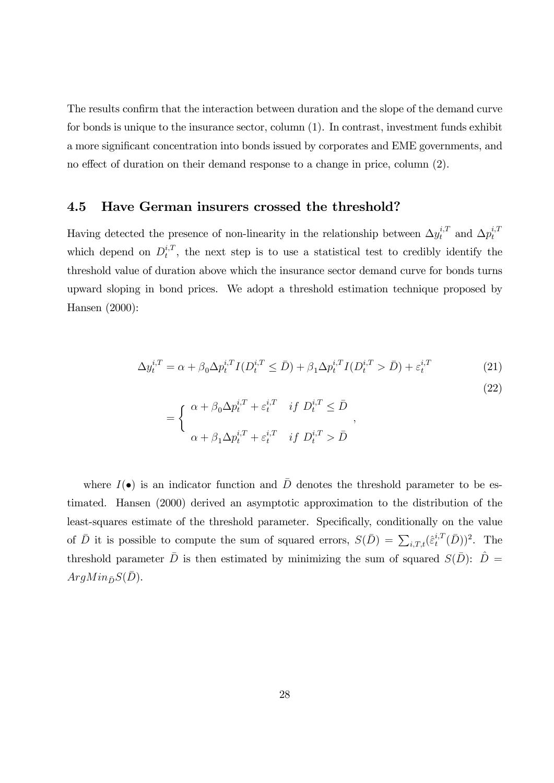The results confirm that the interaction between duration and the slope of the demand curve for bonds is unique to the insurance sector, column (1). In contrast, investment funds exhibit a more significant concentration into bonds issued by corporates and EME governments, and no effect of duration on their demand response to a change in price, column (2).

#### 4.5 Have German insurers crossed the threshold?

Having detected the presence of non-linearity in the relationship between  $\Delta y_t^{i,T}$  and  $\Delta p_t^{i,T}$ t which depend on  $D_t^{i,T}$  $t^{i,T}$ , the next step is to use a statistical test to credibly identify the threshold value of duration above which the insurance sector demand curve for bonds turns upward sloping in bond prices. We adopt a threshold estimation technique proposed by Hansen (2000):

$$
\Delta y_t^{i,T} = \alpha + \beta_0 \Delta p_t^{i,T} I(D_t^{i,T} \le \bar{D}) + \beta_1 \Delta p_t^{i,T} I(D_t^{i,T} > \bar{D}) + \varepsilon_t^{i,T}
$$
(21)

$$
= \begin{cases} \alpha + \beta_0 \Delta p_t^{i,T} + \varepsilon_t^{i,T} & \text{if } D_t^{i,T} \leq \bar{D} \\ \alpha + \beta_1 \Delta p_t^{i,T} + \varepsilon_t^{i,T} & \text{if } D_t^{i,T} > \bar{D} \end{cases},
$$

(22)

where  $I(\bullet)$  is an indicator function and  $\overline{D}$  denotes the threshold parameter to be estimated. Hansen (2000) derived an asymptotic approximation to the distribution of the least-squares estimate of the threshold parameter. Specifically, conditionally on the value of  $\bar{D}$  it is possible to compute the sum of squared errors,  $S(\bar{D}) = \sum_{i,T,t} (\hat{\varepsilon}_t^{i,T})$  $_{t}^{i,T}(\bar{D}))^{2}$ . The threshold parameter  $\bar{D}$  is then estimated by minimizing the sum of squared  $S(\bar{D})$ :  $\hat{D} =$  $ArgMin_{\bar{D}}S(\bar{D}).$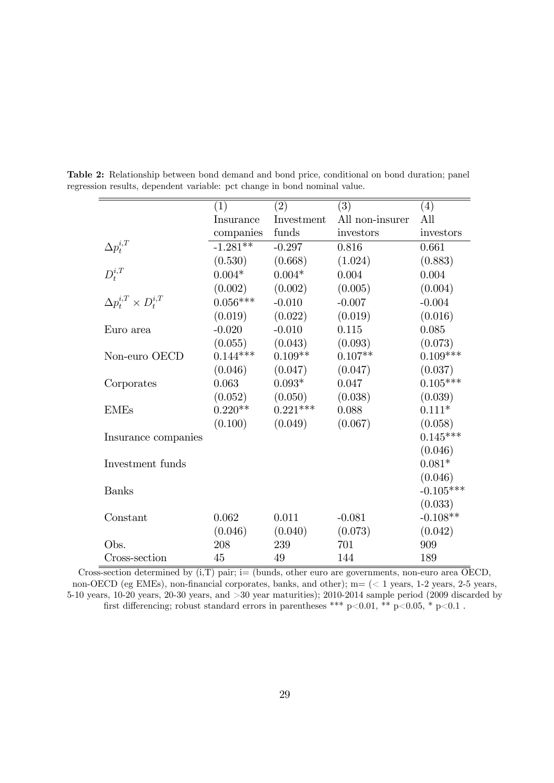|                                     | (1)        | (2)        | $\overline{(3)}$ | (4)         |
|-------------------------------------|------------|------------|------------------|-------------|
|                                     | Insurance  | Investment | All non-insurer  | All         |
|                                     | companies  | funds      | investors        | investors   |
| $\Delta p_t^{i,T}$                  | $-1.281**$ | $-0.297$   | 0.816            | 0.661       |
|                                     | (0.530)    | (0.668)    | (1.024)          | (0.883)     |
| $D_t^{i,T}$                         | $0.004*$   | $0.004*$   | 0.004            | 0.004       |
|                                     | (0.002)    | (0.002)    | (0.005)          | (0.004)     |
| $\Delta p_t^{i,T} \times D_t^{i,T}$ | $0.056***$ | $-0.010$   | $-0.007$         | $-0.004$    |
|                                     | (0.019)    | (0.022)    | (0.019)          | (0.016)     |
| Euro area                           | $-0.020$   | $-0.010$   | 0.115            | 0.085       |
|                                     | (0.055)    | (0.043)    | (0.093)          | (0.073)     |
| Non-euro OECD                       | $0.144***$ | $0.109**$  | $0.107**$        | $0.109***$  |
|                                     | (0.046)    | (0.047)    | (0.047)          | (0.037)     |
| Corporates                          | 0.063      | $0.093*$   | 0.047            | $0.105***$  |
|                                     | (0.052)    | (0.050)    | (0.038)          | (0.039)     |
| <b>EMEs</b>                         | $0.220**$  | $0.221***$ | 0.088            | $0.111*$    |
|                                     | (0.100)    | (0.049)    | (0.067)          | (0.058)     |
| Insurance companies                 |            |            |                  | $0.145***$  |
|                                     |            |            |                  | (0.046)     |
| Investment funds                    |            |            |                  | $0.081*$    |
|                                     |            |            |                  | (0.046)     |
| <b>Banks</b>                        |            |            |                  | $-0.105***$ |
|                                     |            |            |                  | (0.033)     |
| Constant                            | 0.062      | 0.011      | $-0.081$         | $-0.108**$  |
|                                     | (0.046)    | (0.040)    | (0.073)          | (0.042)     |
| Obs.                                | 208        | 239        | 701              | 909         |
| Cross-section                       | 45         | 49         | 144              | 189         |

Table 2: Relationship between bond demand and bond price, conditional on bond duration; panel regression results, dependent variable: pct change in bond nominal value.

Cross-section determined by  $(i, T)$  pair; i= (bunds, other euro are governments, non-euro area OECD, non-OECD (eg EMEs), non-financial corporates, banks, and other);  $m = \langle \langle 1 \rangle$  years, 1-2 years, 2-5 years, 5-10 years, 10-20 years, 20-30 years, and >30 year maturities); 2010-2014 sample period (2009 discarded by first differencing; robust standard errors in parentheses \*\*\* p<0.01, \*\* p<0.05, \* p<0.1 .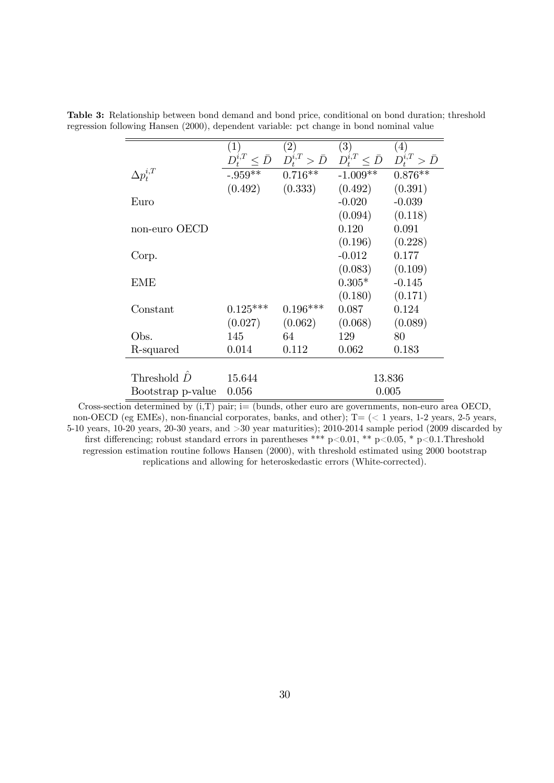|                     | $\left( 1\right)$ | $\left( 2\right)$                                  | (3)                      | (4)                   |
|---------------------|-------------------|----------------------------------------------------|--------------------------|-----------------------|
|                     |                   | $D_t^{i,T} \leq \bar{D} \quad D_t^{i,T} > \bar{D}$ | $D_t^{i,T} \leq \bar{D}$ | $D_t^{i,T} > \bar{D}$ |
| $\Delta p_t^{i,T}$  | $-.959**$         | $0.716**$                                          | $-1.009**$               | $0.876**$             |
|                     | (0.492)           | (0.333)                                            | (0.492)                  | (0.391)               |
| Euro                |                   |                                                    | $-0.020$                 | $-0.039$              |
|                     |                   |                                                    | (0.094)                  | (0.118)               |
| non-euro OECD       |                   |                                                    | 0.120                    | 0.091                 |
|                     |                   |                                                    | (0.196)                  | (0.228)               |
| Corp.               |                   |                                                    | $-0.012$                 | 0.177                 |
|                     |                   |                                                    | (0.083)                  | (0.109)               |
| <b>EME</b>          |                   |                                                    | $0.305*$                 | $-0.145$              |
|                     |                   |                                                    | (0.180)                  | (0.171)               |
| Constant            | $0.125***$        | $0.196***$                                         | 0.087                    | 0.124                 |
|                     | (0.027)           | (0.062)                                            | (0.068)                  | (0.089)               |
| Obs.                | 145               | 64                                                 | 129                      | 80                    |
| R-squared           | 0.014             | 0.112                                              | 0.062                    | 0.183                 |
|                     |                   |                                                    |                          |                       |
| Threshold $\hat{D}$ | 15.644            |                                                    |                          | 13.836                |
| Bootstrap p-value   | 0.056             |                                                    |                          | 0.005                 |

Table 3: Relationship between bond demand and bond price, conditional on bond duration; threshold regression following Hansen (2000), dependent variable: pct change in bond nominal value

Cross-section determined by  $(i, T)$  pair;  $i =$  (bunds, other euro are governments, non-euro area OECD, non-OECD (eg EMEs), non-financial corporates, banks, and other);  $T = \langle \langle 1 \rangle$  years, 1-2 years, 2-5 years, 5-10 years, 10-20 years, 20-30 years, and >30 year maturities); 2010-2014 sample period (2009 discarded by first differencing; robust standard errors in parentheses \*\*\* p<0.01, \*\* p<0.05, \* p<0.1.Threshold regression estimation routine follows Hansen (2000), with threshold estimated using 2000 bootstrap replications and allowing for heteroskedastic errors (White-corrected).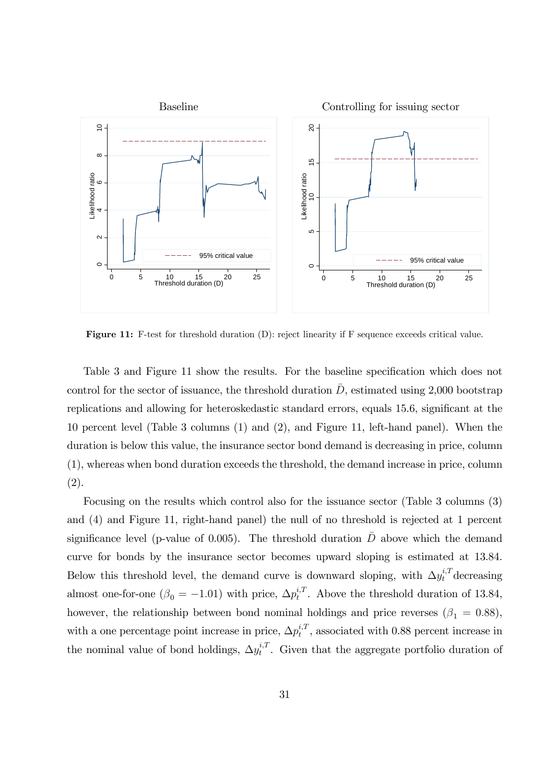

Figure 11: F-test for threshold duration (D): reject linearity if F sequence exceeds critical value.

Table 3 and Figure 11 show the results. For the baseline specification which does not control for the sector of issuance, the threshold duration  $D$ , estimated using 2,000 bootstrap replications and allowing for heteroskedastic standard errors, equals 15.6, significant at the 10 percent level (Table 3 columns (1) and (2), and Figure 11, left-hand panel). When the duration is below this value, the insurance sector bond demand is decreasing in price, column (1), whereas when bond duration exceeds the threshold, the demand increase in price, column (2).

Focusing on the results which control also for the issuance sector (Table 3 columns (3) and (4) and Figure 11, right-hand panel) the null of no threshold is rejected at 1 percent significance level (p-value of 0.005). The threshold duration  $\bar{D}$  above which the demand curve for bonds by the insurance sector becomes upward sloping is estimated at 13.84. Below this threshold level, the demand curve is downward sloping, with  $\Delta y_t^{i,T}$  decreasing almost one-for-one  $(\beta_0 = -1.01)$  with price,  $\Delta p_t^{i,T}$  $t_t^{i,T}$ . Above the threshold duration of 13.84, however, the relationship between bond nominal holdings and price reverses  $(\beta_1 = 0.88)$ , with a one percentage point increase in price,  $\Delta p_t^{i,T}$  $t_t^{i,T}$ , associated with 0.88 percent increase in the nominal value of bond holdings,  $\Delta y_t^{i,T}$  $t_t^{i,T}$ . Given that the aggregate portfolio duration of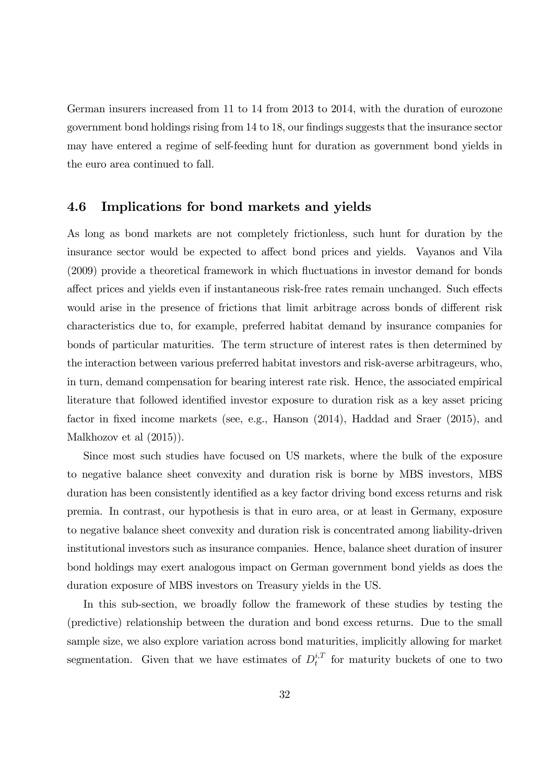German insurers increased from 11 to 14 from 2013 to 2014, with the duration of eurozone government bond holdings rising from 14 to 18, our findings suggests that the insurance sector may have entered a regime of self-feeding hunt for duration as government bond yields in the euro area continued to fall.

#### 4.6 Implications for bond markets and yields

As long as bond markets are not completely frictionless, such hunt for duration by the insurance sector would be expected to affect bond prices and yields. Vayanos and Vila (2009) provide a theoretical framework in which fluctuations in investor demand for bonds affect prices and yields even if instantaneous risk-free rates remain unchanged. Such effects would arise in the presence of frictions that limit arbitrage across bonds of different risk characteristics due to, for example, preferred habitat demand by insurance companies for bonds of particular maturities. The term structure of interest rates is then determined by the interaction between various preferred habitat investors and risk-averse arbitrageurs, who, in turn, demand compensation for bearing interest rate risk. Hence, the associated empirical literature that followed identified investor exposure to duration risk as a key asset pricing factor in fixed income markets (see, e.g., Hanson (2014), Haddad and Sraer (2015), and Malkhozov et al (2015)).

Since most such studies have focused on US markets, where the bulk of the exposure to negative balance sheet convexity and duration risk is borne by MBS investors, MBS duration has been consistently identified as a key factor driving bond excess returns and risk premia. In contrast, our hypothesis is that in euro area, or at least in Germany, exposure to negative balance sheet convexity and duration risk is concentrated among liability-driven institutional investors such as insurance companies. Hence, balance sheet duration of insurer bond holdings may exert analogous impact on German government bond yields as does the duration exposure of MBS investors on Treasury yields in the US.

In this sub-section, we broadly follow the framework of these studies by testing the (predictive) relationship between the duration and bond excess returns. Due to the small sample size, we also explore variation across bond maturities, implicitly allowing for market segmentation. Given that we have estimates of  $D_t^{i,T}$  $t_t^{i,t}$  for maturity buckets of one to two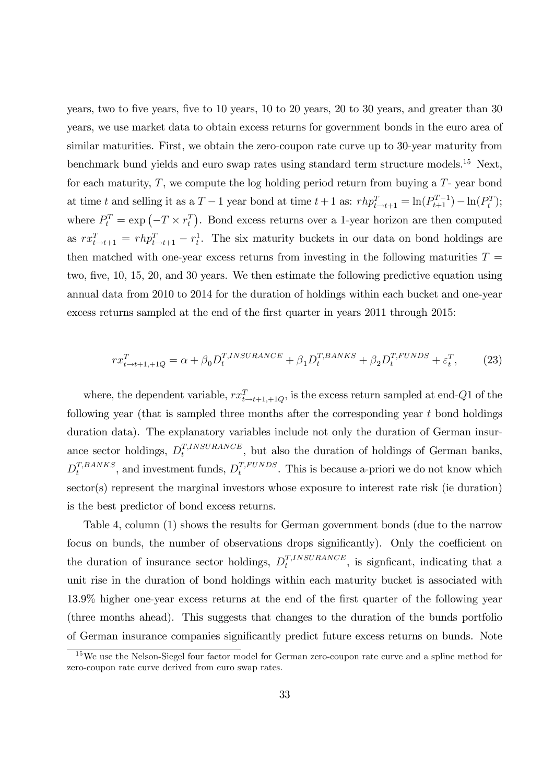years, two to five years, five to 10 years, 10 to 20 years, 20 to 30 years, and greater than 30 years, we use market data to obtain excess returns for government bonds in the euro area of similar maturities. First, we obtain the zero-coupon rate curve up to 30-year maturity from benchmark bund yields and euro swap rates using standard term structure models.<sup>15</sup> Next, for each maturity,  $T$ , we compute the log holding period return from buying a  $T$ - year bond at time t and selling it as a  $T-1$  year bond at time  $t+1$  as:  $rh p_{t\to t+1}^T = \ln(P_{t+1}^{T-1}) - \ln(P_t^T);$ where  $P_t^T = \exp(-T \times r_t^T)$ . Bond excess returns over a 1-year horizon are then computed as  $rx_{t\to t+1}^T = rhp_{t\to t+1}^T - r_t^1$ . The six maturity buckets in our data on bond holdings are then matched with one-year excess returns from investing in the following maturities  $T =$ two, five, 10, 15, 20, and 30 years. We then estimate the following predictive equation using annual data from 2010 to 2014 for the duration of holdings within each bucket and one-year excess returns sampled at the end of the first quarter in years 2011 through 2015:

$$
rx_{t\to t+1,+1Q}^T = \alpha + \beta_0 D_t^{T,INSURANCE} + \beta_1 D_t^{T,BANKS} + \beta_2 D_t^{T,FUNDS} + \varepsilon_t^T,
$$
 (23)

where, the dependent variable,  $rx_{t\rightarrow t+1,+1Q}^T$ , is the excess return sampled at end-Q1 of the following year (that is sampled three months after the corresponding year t bond holdings duration data). The explanatory variables include not only the duration of German insurance sector holdings,  $D_t^{T,INSURANCE}$  $t_t^{1,INSURANCE}$ , but also the duration of holdings of German banks,  $D_t^{T,BANKS}$  $t_t^{T,BANKS}$ , and investment funds,  $D_t^{T,FUNDS}$  $t^{1, FUNDS}$ . This is because a-priori we do not know which sector(s) represent the marginal investors whose exposure to interest rate risk (ie duration) is the best predictor of bond excess returns.

Table 4, column (1) shows the results for German government bonds (due to the narrow focus on bunds, the number of observations drops significantly). Only the coefficient on the duration of insurance sector holdings,  $D_t^{T,INSURANCE}$  $t^{T,INSURANCE}$ , is significant, indicating that a unit rise in the duration of bond holdings within each maturity bucket is associated with 13.9% higher one-year excess returns at the end of the Örst quarter of the following year (three months ahead). This suggests that changes to the duration of the bunds portfolio of German insurance companies significantly predict future excess returns on bunds. Note

<sup>15</sup>We use the Nelson-Siegel four factor model for German zero-coupon rate curve and a spline method for zero-coupon rate curve derived from euro swap rates.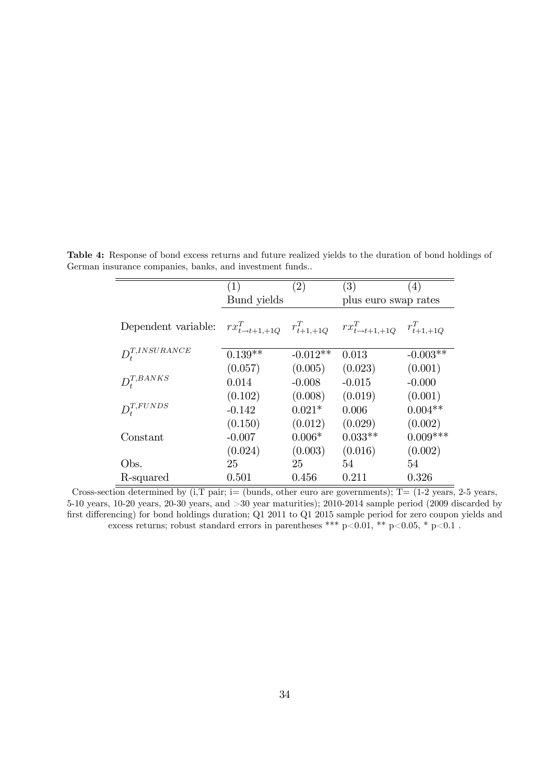|                     | (1)         | $\left( 2\right)$ | (3)                                                                         | (4)        |
|---------------------|-------------|-------------------|-----------------------------------------------------------------------------|------------|
|                     | Bund yields |                   | plus euro swap rates                                                        |            |
|                     |             |                   |                                                                             |            |
| Dependent variable: |             |                   | $rx_{t\to t+1,+1Q}^T$ $r_{t+1,+1Q}^T$ $rx_{t\to t+1,+1Q}^T$ $r_{t+1,+1Q}^T$ |            |
|                     |             |                   |                                                                             |            |
| $D_t^{T,INSURANCE}$ | $0.139**$   | $-0.012**$        | 0.013                                                                       | $-0.003**$ |
|                     | (0.057)     | (0.005)           | (0.023)                                                                     | (0.001)    |
| $D_t^{T,BANKS}$     | 0.014       | $-0.008$          | $-0.015$                                                                    | $-0.000$   |
|                     | (0.102)     | (0.008)           | (0.019)                                                                     | (0.001)    |
| $D_{t}^{T,FUNDS}$   | $-0.142$    | $0.021*$          | 0.006                                                                       | $0.004**$  |
|                     | (0.150)     | (0.012)           | (0.029)                                                                     | (0.002)    |
| Constant            | $-0.007$    | $0.006*$          | $0.033**$                                                                   | $0.009***$ |
|                     | (0.024)     | (0.003)           | (0.016)                                                                     | (0.002)    |
| Obs.                | 25          | 25                | 54                                                                          | 54         |
| R-squared           | 0.501       | 0.456             | 0.211                                                                       | 0.326      |

Table 4: Response of bond excess returns and future realized yields to the duration of bond holdings of German insurance companies, banks, and investment funds..

Cross-section determined by  $(i, T \text{ pair}; i=$  (bunds, other euro are governments);  $T=(1-2 \text{ years}, 2-5 \text{ years},$ 5-10 years, 10-20 years, 20-30 years, and >30 year maturities); 2010-2014 sample period (2009 discarded by first differencing) for bond holdings duration; Q1 2011 to Q1 2015 sample period for zero coupon yields and excess returns; robust standard errors in parentheses \*\*\* p<0.01, \*\* p<0.05, \* p<0.1.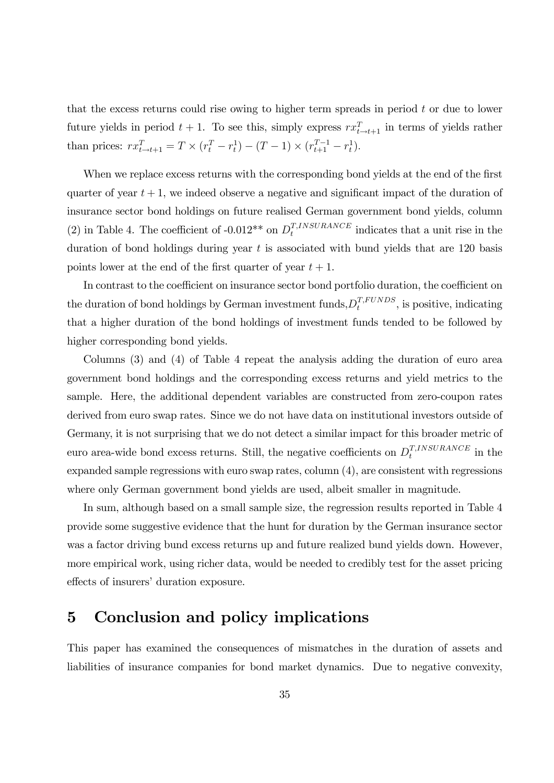that the excess returns could rise owing to higher term spreads in period t or due to lower future yields in period  $t + 1$ . To see this, simply express  $rx_{t \to t+1}^T$  in terms of yields rather than prices:  $rx_{t\to t+1}^T = T \times (r_t^T - r_t^1) - (T - 1) \times (r_{t+1}^{T-1} - r_t^1).$ 

When we replace excess returns with the corresponding bond yields at the end of the first quarter of year  $t + 1$ , we indeed observe a negative and significant impact of the duration of insurance sector bond holdings on future realised German government bond yields, column (2) in Table 4. The coefficient of -0.012\*\* on  $D_t^{T,INSURANCE}$  $t^{T,INSURANCE}$  indicates that a unit rise in the duration of bond holdings during year  $t$  is associated with bund yields that are 120 basis points lower at the end of the first quarter of year  $t + 1$ .

In contrast to the coefficient on insurance sector bond portfolio duration, the coefficient on the duration of bond holdings by German investment funds,  $D_t^{T, FUNDS}$  $t^{I, FUNDS}$ , is positive, indicating that a higher duration of the bond holdings of investment funds tended to be followed by higher corresponding bond yields.

Columns (3) and (4) of Table 4 repeat the analysis adding the duration of euro area government bond holdings and the corresponding excess returns and yield metrics to the sample. Here, the additional dependent variables are constructed from zero-coupon rates derived from euro swap rates. Since we do not have data on institutional investors outside of Germany, it is not surprising that we do not detect a similar impact for this broader metric of euro area-wide bond excess returns. Still, the negative coefficients on  $D_t^{T,INSURANCE}$  $t^{1,1N}$ <sup>surance</sup> in the expanded sample regressions with euro swap rates, column (4), are consistent with regressions where only German government bond yields are used, albeit smaller in magnitude.

In sum, although based on a small sample size, the regression results reported in Table 4 provide some suggestive evidence that the hunt for duration by the German insurance sector was a factor driving bund excess returns up and future realized bund yields down. However, more empirical work, using richer data, would be needed to credibly test for the asset pricing effects of insurers' duration exposure.

## 5 Conclusion and policy implications

This paper has examined the consequences of mismatches in the duration of assets and liabilities of insurance companies for bond market dynamics. Due to negative convexity,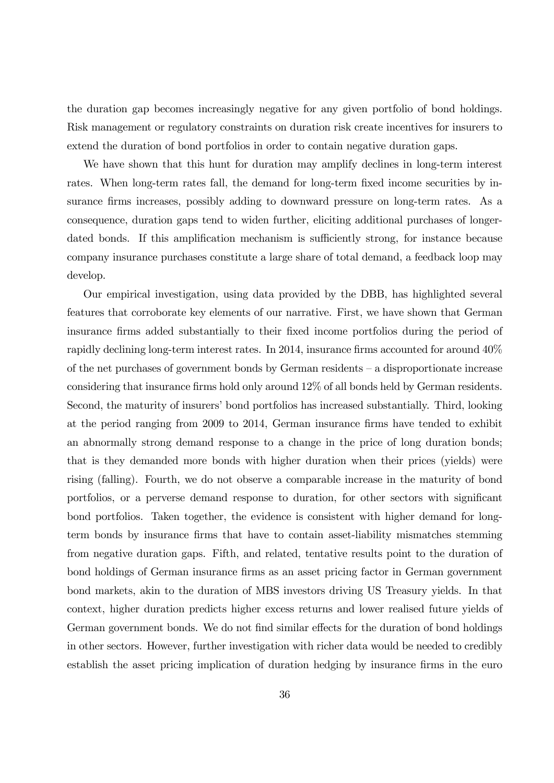the duration gap becomes increasingly negative for any given portfolio of bond holdings. Risk management or regulatory constraints on duration risk create incentives for insurers to extend the duration of bond portfolios in order to contain negative duration gaps.

We have shown that this hunt for duration may amplify declines in long-term interest rates. When long-term rates fall, the demand for long-term fixed income securities by insurance firms increases, possibly adding to downward pressure on long-term rates. As a consequence, duration gaps tend to widen further, eliciting additional purchases of longerdated bonds. If this amplification mechanism is sufficiently strong, for instance because company insurance purchases constitute a large share of total demand, a feedback loop may develop.

Our empirical investigation, using data provided by the DBB, has highlighted several features that corroborate key elements of our narrative. First, we have shown that German insurance firms added substantially to their fixed income portfolios during the period of rapidly declining long-term interest rates. In 2014, insurance firms accounted for around  $40\%$ of the net purchases of government bonds by German residents  $-$  a disproportionate increase considering that insurance firms hold only around 12% of all bonds held by German residents. Second, the maturity of insurers' bond portfolios has increased substantially. Third, looking at the period ranging from 2009 to 2014, German insurance firms have tended to exhibit an abnormally strong demand response to a change in the price of long duration bonds; that is they demanded more bonds with higher duration when their prices (yields) were rising (falling). Fourth, we do not observe a comparable increase in the maturity of bond portfolios, or a perverse demand response to duration, for other sectors with significant bond portfolios. Taken together, the evidence is consistent with higher demand for longterm bonds by insurance firms that have to contain asset-liability mismatches stemming from negative duration gaps. Fifth, and related, tentative results point to the duration of bond holdings of German insurance firms as an asset pricing factor in German government bond markets, akin to the duration of MBS investors driving US Treasury yields. In that context, higher duration predicts higher excess returns and lower realised future yields of German government bonds. We do not find similar effects for the duration of bond holdings in other sectors. However, further investigation with richer data would be needed to credibly establish the asset pricing implication of duration hedging by insurance firms in the euro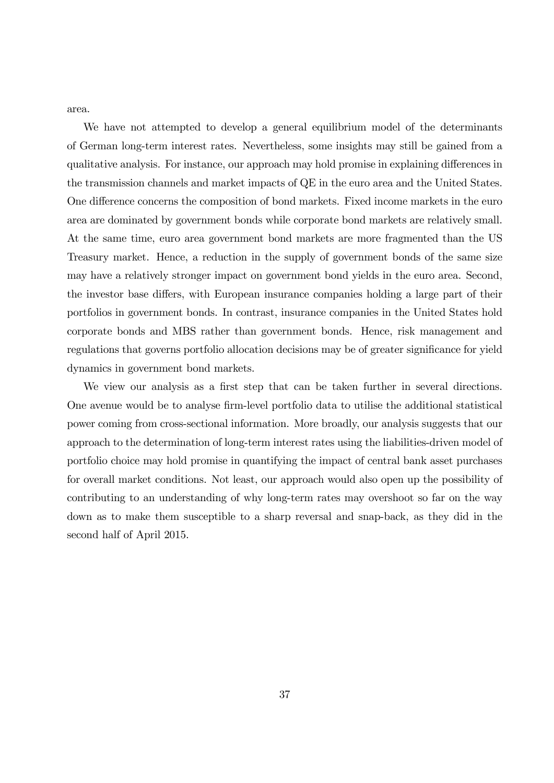area.

We have not attempted to develop a general equilibrium model of the determinants of German long-term interest rates. Nevertheless, some insights may still be gained from a qualitative analysis. For instance, our approach may hold promise in explaining differences in the transmission channels and market impacts of QE in the euro area and the United States. One difference concerns the composition of bond markets. Fixed income markets in the euro area are dominated by government bonds while corporate bond markets are relatively small. At the same time, euro area government bond markets are more fragmented than the US Treasury market. Hence, a reduction in the supply of government bonds of the same size may have a relatively stronger impact on government bond yields in the euro area. Second, the investor base differs, with European insurance companies holding a large part of their portfolios in government bonds. In contrast, insurance companies in the United States hold corporate bonds and MBS rather than government bonds. Hence, risk management and regulations that governs portfolio allocation decisions may be of greater significance for yield dynamics in government bond markets.

We view our analysis as a first step that can be taken further in several directions. One avenue would be to analyse firm-level portfolio data to utilise the additional statistical power coming from cross-sectional information. More broadly, our analysis suggests that our approach to the determination of long-term interest rates using the liabilities-driven model of portfolio choice may hold promise in quantifying the impact of central bank asset purchases for overall market conditions. Not least, our approach would also open up the possibility of contributing to an understanding of why long-term rates may overshoot so far on the way down as to make them susceptible to a sharp reversal and snap-back, as they did in the second half of April 2015.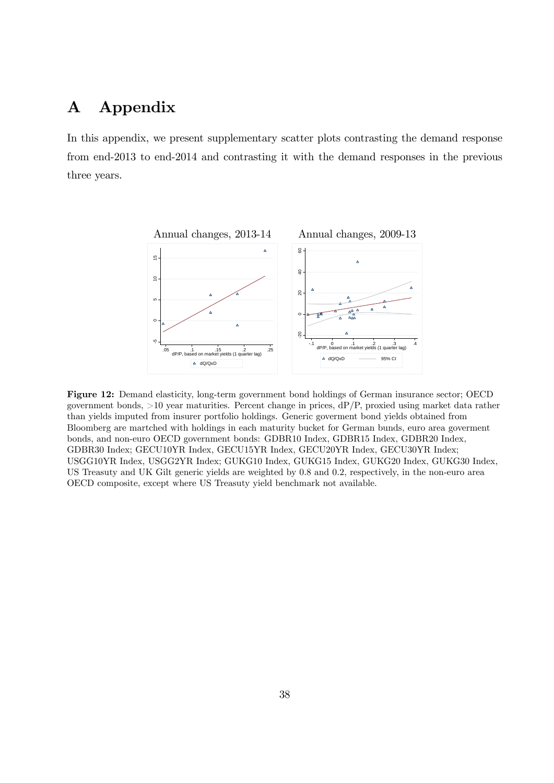## A Appendix

In this appendix, we present supplementary scatter plots contrasting the demand response from end-2013 to end-2014 and contrasting it with the demand responses in the previous three years.



Figure 12: Demand elasticity, long-term government bond holdings of German insurance sector; OECD government bonds,  $>10$  year maturities. Percent change in prices,  $dP/P$ , proxied using market data rather than yields imputed from insurer portfolio holdings. Generic goverment bond yields obtained from Bloomberg are martched with holdings in each maturity bucket for German bunds, euro area goverment bonds, and non-euro OECD government bonds: GDBR10 Index, GDBR15 Index, GDBR20 Index, GDBR30 Index; GECU10YR Index, GECU15YR Index, GECU20YR Index, GECU30YR Index; USGG10YR Index, USGG2YR Index; GUKG10 Index, GUKG15 Index, GUKG20 Index, GUKG30 Index, US Treasuty and UK Gilt generic yields are weighted by 0.8 and 0.2, respectively, in the non-euro area OECD composite, except where US Treasuty yield benchmark not available.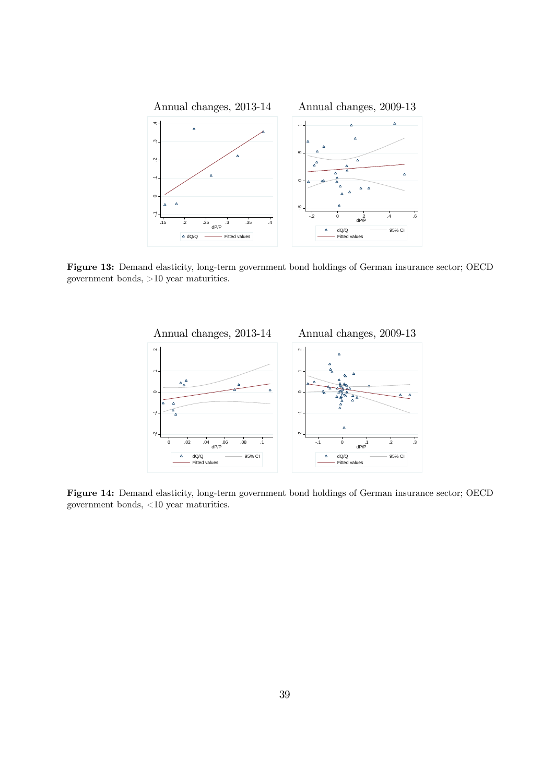

Figure 13: Demand elasticity, long-term government bond holdings of German insurance sector; OECD government bonds, >10 year maturities.



Figure 14: Demand elasticity, long-term government bond holdings of German insurance sector; OECD government bonds, <10 year maturities.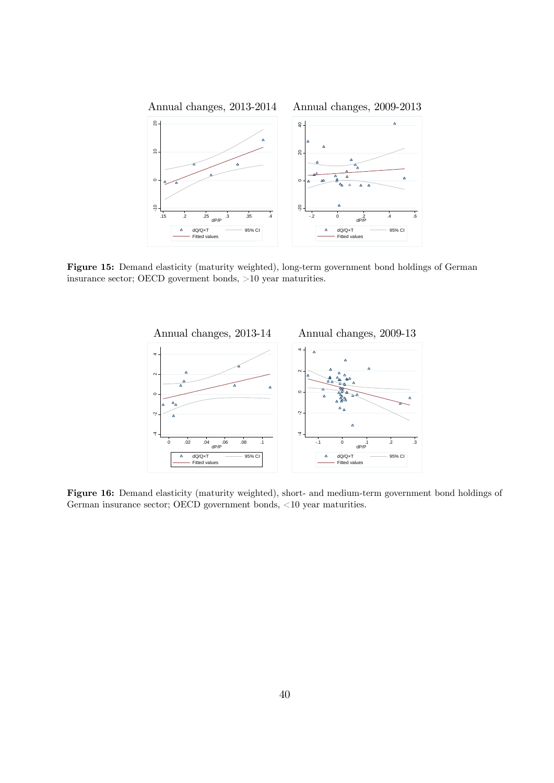

Figure 15: Demand elasticity (maturity weighted), long-term government bond holdings of German insurance sector; OECD goverment bonds, >10 year maturities.



Figure 16: Demand elasticity (maturity weighted), short- and medium-term government bond holdings of German insurance sector; OECD government bonds, <10 year maturities.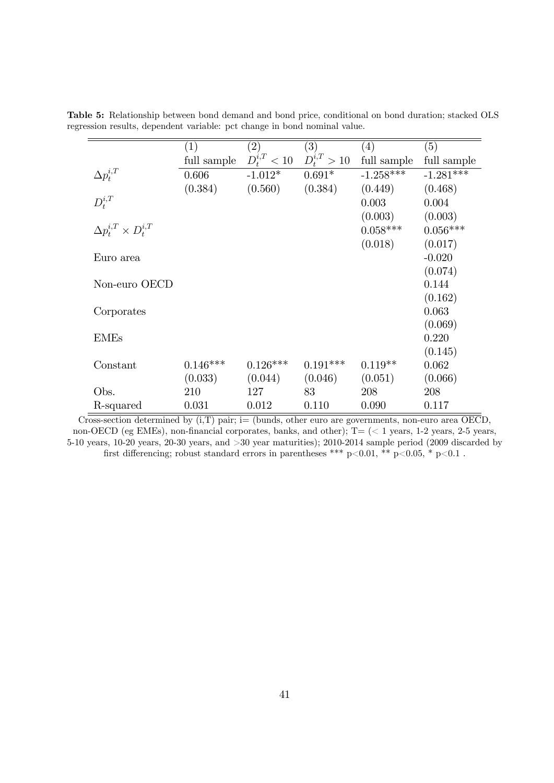|                                     | (1)         | (2)              | (3)              | (4)         | (5)         |
|-------------------------------------|-------------|------------------|------------------|-------------|-------------|
|                                     | full sample | $D_t^{i,T} < 10$ | $D_t^{i,T} > 10$ | full sample | full sample |
| $\Delta p_t^{i,T}$                  | 0.606       | $-1.012*$        | $0.691*$         | $-1.258***$ | $-1.281***$ |
|                                     | (0.384)     | (0.560)          | (0.384)          | (0.449)     | (0.468)     |
| $D_t^{i,T}$                         |             |                  |                  | 0.003       | 0.004       |
|                                     |             |                  |                  | (0.003)     | (0.003)     |
| $\Delta p_t^{i,T} \times D_t^{i,T}$ |             |                  |                  | $0.058***$  | $0.056***$  |
|                                     |             |                  |                  | (0.018)     | (0.017)     |
| Euro area                           |             |                  |                  |             | $-0.020$    |
|                                     |             |                  |                  |             | (0.074)     |
| Non-euro OECD                       |             |                  |                  |             | 0.144       |
|                                     |             |                  |                  |             | (0.162)     |
| Corporates                          |             |                  |                  |             | 0.063       |
|                                     |             |                  |                  |             | (0.069)     |
| <b>EMEs</b>                         |             |                  |                  |             | 0.220       |
|                                     |             |                  |                  |             | (0.145)     |
| Constant                            | $0.146***$  | $0.126***$       | $0.191***$       | $0.119**$   | 0.062       |
|                                     | (0.033)     | (0.044)          | (0.046)          | (0.051)     | (0.066)     |
| Obs.                                | 210         | 127              | 83               | 208         | 208         |
| R-squared                           | 0.031       | 0.012            | 0.110            | 0.090       | 0.117       |

Table 5: Relationship between bond demand and bond price, conditional on bond duration; stacked OLS regression results, dependent variable: pct change in bond nominal value.

Cross-section determined by  $(i, T)$  pair; i= (bunds, other euro are governments, non-euro area OECD, non-OECD (eg EMEs), non-financial corporates, banks, and other); T= (< 1 years, 1-2 years, 2-5 years, 5-10 years, 10-20 years, 20-30 years, and >30 year maturities); 2010-2014 sample period (2009 discarded by first differencing; robust standard errors in parentheses \*\*\* p<0.01, \*\* p<0.05, \* p<0.1 .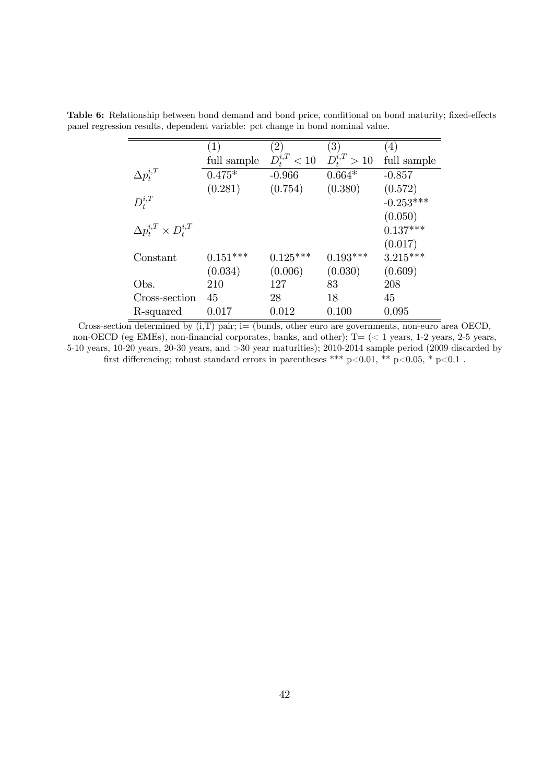|                                     | $\left( 1\right)$ | $^{\prime}2)$      | (3)              | (4)         |
|-------------------------------------|-------------------|--------------------|------------------|-------------|
|                                     | full sample       | $D_{t}^{i,T} < 10$ | $D_t^{i,T} > 10$ | full sample |
| $\Delta p_t^{i,T}$                  | $0.475*$          | $-0.966$           | $0.664*$         | $-0.857$    |
|                                     | (0.281)           | (0.754)            | (0.380)          | (0.572)     |
| $D_{t}^{i,T}$                       |                   |                    |                  | $-0.253***$ |
|                                     |                   |                    |                  | (0.050)     |
| $\Delta p_t^{i,T} \times D_t^{i,T}$ |                   |                    |                  | $0.137***$  |
|                                     |                   |                    |                  | (0.017)     |
| Constant                            | $0.151***$        | $0.125***$         | $0.193***$       | $3.215***$  |
|                                     | (0.034)           | (0.006)            | (0.030)          | (0.609)     |
| Obs.                                | 210               | 127                | 83               | 208         |
| Cross-section                       | 45                | 28                 | 18               | 45          |
| R-squared                           | 0.017             | 0.012              | 0.100            | 0.095       |

Table 6: Relationship between bond demand and bond price, conditional on bond maturity; fixed-effects panel regression results, dependent variable: pct change in bond nominal value.

Cross-section determined by  $(i, T)$  pair; i= (bunds, other euro are governments, non-euro area OECD, non-OECD (eg EMEs), non-financial corporates, banks, and other); T= (< 1 years, 1-2 years, 2-5 years, 5-10 years, 10-20 years, 20-30 years, and >30 year maturities); 2010-2014 sample period (2009 discarded by first differencing; robust standard errors in parentheses \*\*\* p<0.01, \*\* p<0.05, \* p<0.1 .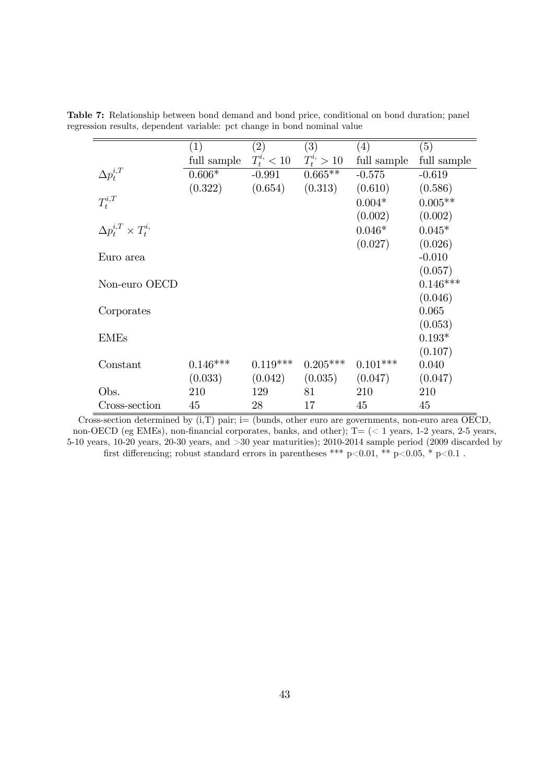|                                   | $\left( 1\right)$ | $\left( 2\right)$ | (3)          | (4)         | (5)         |
|-----------------------------------|-------------------|-------------------|--------------|-------------|-------------|
|                                   | full sample       | $T_t^{i} < 10$    | $T_t^i > 10$ | full sample | full sample |
| $\Delta p_t^{i,T}$                | $0.606*$          | $-0.991$          | $0.665**$    | $-0.575$    | $-0.619$    |
|                                   | (0.322)           | (0.654)           | (0.313)      | (0.610)     | (0.586)     |
| $T_t^{i,T}$                       |                   |                   |              | $0.004*$    | $0.005**$   |
|                                   |                   |                   |              | (0.002)     | (0.002)     |
| $\Delta p_t^{i,T} \times T_t^{i}$ |                   |                   |              | $0.046*$    | $0.045*$    |
|                                   |                   |                   |              | (0.027)     | (0.026)     |
| Euro area                         |                   |                   |              |             | $-0.010$    |
|                                   |                   |                   |              |             | (0.057)     |
| Non-euro OECD                     |                   |                   |              |             | $0.146***$  |
|                                   |                   |                   |              |             | (0.046)     |
| Corporates                        |                   |                   |              |             | 0.065       |
|                                   |                   |                   |              |             | (0.053)     |
| <b>EMEs</b>                       |                   |                   |              |             | $0.193*$    |
|                                   |                   |                   |              |             | (0.107)     |
| Constant                          | $0.146***$        | $0.119***$        | $0.205***$   | $0.101***$  | 0.040       |
|                                   | (0.033)           | (0.042)           | (0.035)      | (0.047)     | (0.047)     |
| Obs.                              | 210               | 129               | 81           | 210         | 210         |
| Cross-section                     | 45                | 28                | 17           | 45          | 45          |

Table 7: Relationship between bond demand and bond price, conditional on bond duration; panel regression results, dependent variable: pct change in bond nominal value

Cross-section determined by  $(i, T)$  pair; i= (bunds, other euro are governments, non-euro area OECD, non-OECD (eg EMEs), non-financial corporates, banks, and other);  $T = \langle \langle 1 \rangle$  years, 1-2 years, 2-5 years, 5-10 years, 10-20 years, 20-30 years, and >30 year maturities); 2010-2014 sample period (2009 discarded by first differencing; robust standard errors in parentheses \*\*\* p<0.01, \*\* p<0.05, \* p<0.1.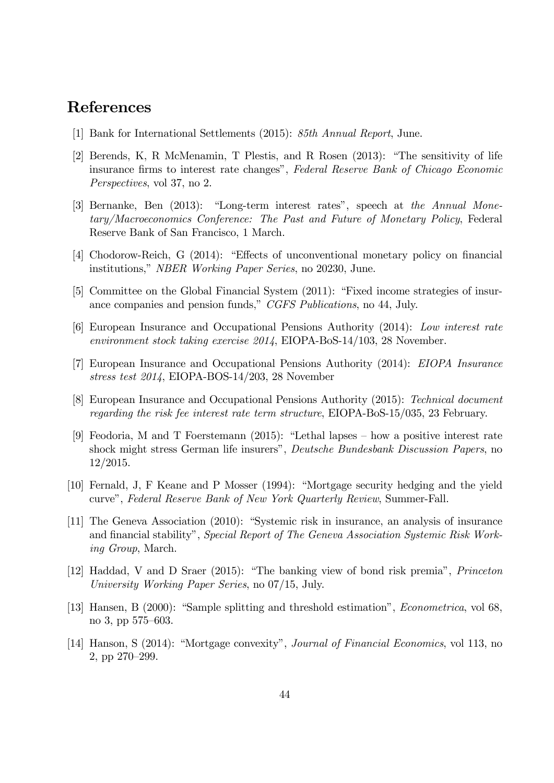## References

- [1] Bank for International Settlements (2015): 85th Annual Report, June.
- [2] Berends, K, R McMenamin, T Plestis, and R Rosen  $(2013)$ : "The sensitivity of life insurance firms to interest rate changes", Federal Reserve Bank of Chicago Economic Perspectives, vol 37, no 2.
- [3] Bernanke, Ben  $(2013)$ : "Long-term interest rates", speech at the Annual Monetary/Macroeconomics Conference: The Past and Future of Monetary Policy, Federal Reserve Bank of San Francisco, 1 March.
- [4] Chodorow-Reich, G (2014): "Effects of unconventional monetary policy on financial institutions," *NBER Working Paper Series*, no 20230, June.
- [5] Committee on the Global Financial System (2011): "Fixed income strategies of insurance companies and pension funds," CGFS Publications, no 44, July.
- [6] European Insurance and Occupational Pensions Authority (2014): Low interest rate environment stock taking exercise 2014, EIOPA-BoS-14/103, 28 November.
- [7] European Insurance and Occupational Pensions Authority (2014): EIOPA Insurance stress test 2014, EIOPA-BOS-14/203, 28 November
- [8] European Insurance and Occupational Pensions Authority (2015): Technical document regarding the risk fee interest rate term structure, EIOPA-BoS-15/035, 23 February.
- [9] Feodoria, M and T Foerstemann (2015): "Lethal lapses  $-$  how a positive interest rate shock might stress German life insurers", Deutsche Bundesbank Discussion Papers, no 12/2015.
- [10] Fernald, J, F Keane and P Mosser (1994): "Mortgage security hedging and the yield curveî, Federal Reserve Bank of New York Quarterly Review, Summer-Fall.
- [11] The Geneva Association (2010): "Systemic risk in insurance, an analysis of insurance and financial stability", Special Report of The Geneva Association Systemic Risk Working Group, March.
- [12] Haddad, V and D Sraer (2015): "The banking view of bond risk premia", *Princeton* University Working Paper Series, no 07/15, July.
- [13] Hansen, B (2000): "Sample splitting and threshold estimation", *Econometrica*, vol 68, no 3, pp 575–603.
- [14] Hanson, S (2014): "Mortgage convexity", *Journal of Financial Economics*, vol 113, no 2, pp 270–299.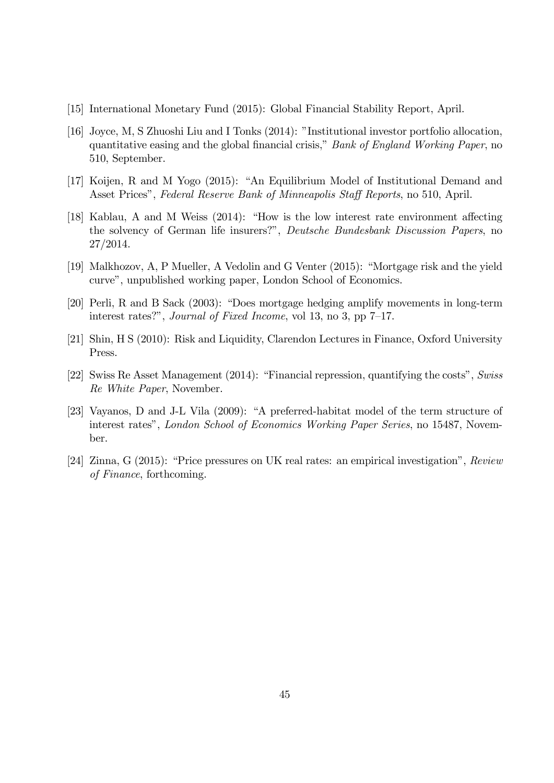- [15] International Monetary Fund (2015): Global Financial Stability Report, April.
- [16] Joyce, M, S Zhuoshi Liu and I Tonks (2014): "Institutional investor portfolio allocation, quantitative easing and the global financial crisis," Bank of England Working Paper, no 510, September.
- [17] Koijen, R and M Yogo (2015): "An Equilibrium Model of Institutional Demand and Asset Prices", Federal Reserve Bank of Minneapolis Staff Reports, no 510, April.
- [18] Kablau, A and M Weiss  $(2014)$ : "How is the low interest rate environment affecting the solvency of German life insurers?", Deutsche Bundesbank Discussion Papers, no 27/2014.
- [19] Malkhozov, A, P Mueller, A Vedolin and G Venter (2015): "Mortgage risk and the yield curve", unpublished working paper, London School of Economics.
- [20] Perli, R and B Sack (2003): "Does mortgage hedging amplify movements in long-term interest rates?", Journal of Fixed Income, vol 13, no 3, pp  $7-17$ .
- [21] Shin, H S (2010): Risk and Liquidity, Clarendon Lectures in Finance, Oxford University Press.
- [22] Swiss Re Asset Management (2014): "Financial repression, quantifying the costs", Swiss Re White Paper, November.
- [23] Vayanos, D and J-L Vila (2009): "A preferred-habitat model of the term structure of interest rates", London School of Economics Working Paper Series, no 15487, November.
- [24] Zinna, G (2015): "Price pressures on UK real rates: an empirical investigation", Review of Finance, forthcoming.